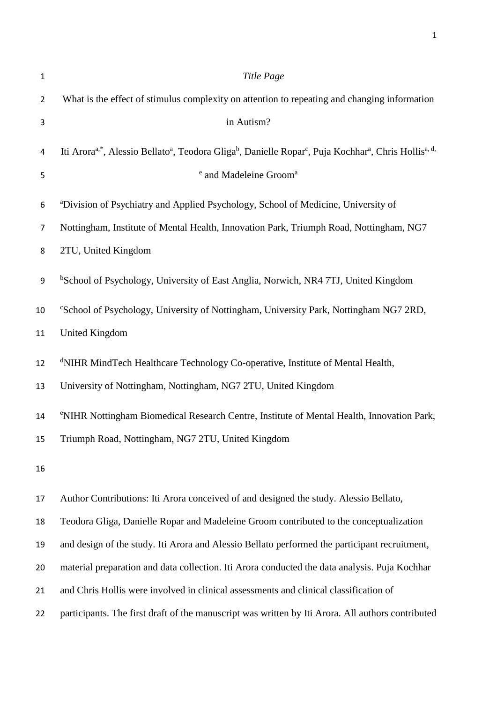| $\mathbf{1}$   | Title Page                                                                                                                                                                     |
|----------------|--------------------------------------------------------------------------------------------------------------------------------------------------------------------------------|
| $\overline{2}$ | What is the effect of stimulus complexity on attention to repeating and changing information                                                                                   |
| 3              | in Autism?                                                                                                                                                                     |
| 4              | Iti Arora <sup>a,*</sup> , Alessio Bellato <sup>a</sup> , Teodora Gliga <sup>b</sup> , Danielle Ropar <sup>c</sup> , Puja Kochhar <sup>a</sup> , Chris Hollis <sup>a, d,</sup> |
| 5              | <sup>e</sup> and Madeleine Groom <sup>a</sup>                                                                                                                                  |
| 6              | <sup>a</sup> Division of Psychiatry and Applied Psychology, School of Medicine, University of                                                                                  |
| 7              | Nottingham, Institute of Mental Health, Innovation Park, Triumph Road, Nottingham, NG7                                                                                         |
| 8              | 2TU, United Kingdom                                                                                                                                                            |
| 9              | <sup>b</sup> School of Psychology, University of East Anglia, Norwich, NR4 7TJ, United Kingdom                                                                                 |
| 10             | "School of Psychology, University of Nottingham, University Park, Nottingham NG7 2RD,                                                                                          |
| 11             | <b>United Kingdom</b>                                                                                                                                                          |
| 12             | <sup>d</sup> NIHR MindTech Healthcare Technology Co-operative, Institute of Mental Health,                                                                                     |
| 13             | University of Nottingham, Nottingham, NG7 2TU, United Kingdom                                                                                                                  |
| 14             | <sup>e</sup> NIHR Nottingham Biomedical Research Centre, Institute of Mental Health, Innovation Park,                                                                          |
| 15             | Triumph Road, Nottingham, NG7 2TU, United Kingdom                                                                                                                              |
| 16             |                                                                                                                                                                                |
| 17             | Author Contributions: Iti Arora conceived of and designed the study. Alessio Bellato,                                                                                          |
| 18             | Teodora Gliga, Danielle Ropar and Madeleine Groom contributed to the conceptualization                                                                                         |
| 19             | and design of the study. Iti Arora and Alessio Bellato performed the participant recruitment,                                                                                  |
| 20             | material preparation and data collection. Iti Arora conducted the data analysis. Puja Kochhar                                                                                  |
| 21             | and Chris Hollis were involved in clinical assessments and clinical classification of                                                                                          |
| 22             | participants. The first draft of the manuscript was written by Iti Arora. All authors contributed                                                                              |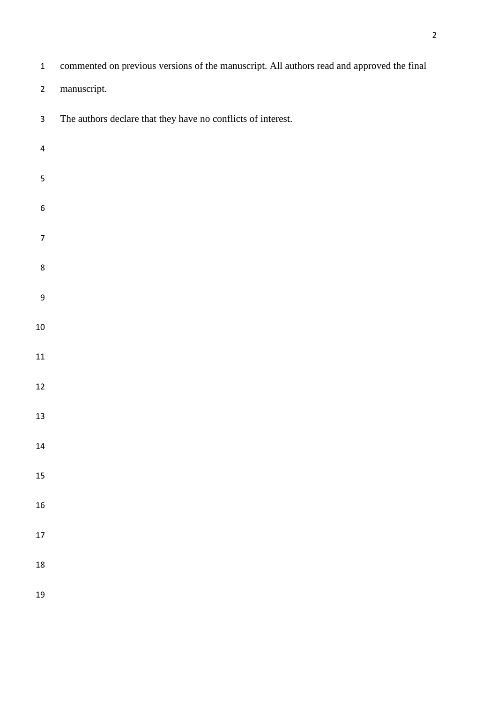- commented on previous versions of the manuscript. All authors read and approved the final
- manuscript.
- The authors declare that they have no conflicts of interest.

| $\overline{a}$          |  |  |
|-------------------------|--|--|
| $\overline{\mathbf{5}}$ |  |  |
| $\boldsymbol{6}$        |  |  |
| $\overline{7}$          |  |  |
| $\boldsymbol{8}$        |  |  |
| $\overline{9}$          |  |  |
| 10                      |  |  |
| $11$                    |  |  |
| 12                      |  |  |
| 13                      |  |  |
| 14                      |  |  |
| 15                      |  |  |
| 16                      |  |  |
| $17\,$                  |  |  |
| 18                      |  |  |
| 19                      |  |  |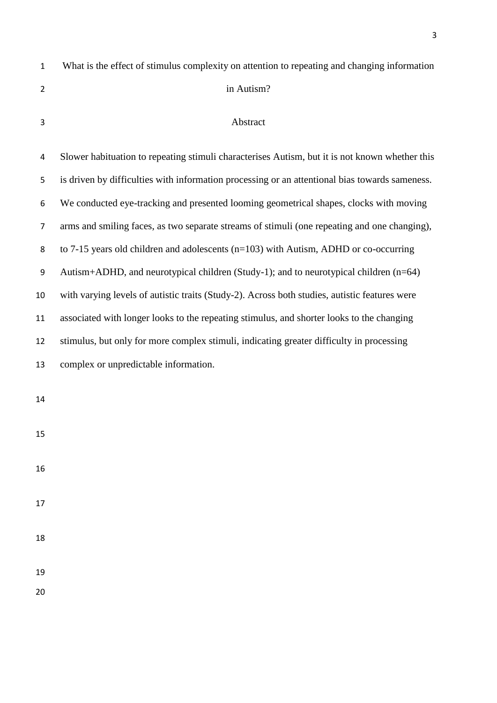| 1 | What is the effect of stimulus complexity on attention to repeating and changing information |
|---|----------------------------------------------------------------------------------------------|
|   | in Autism?                                                                                   |
|   | Abstract                                                                                     |

 Slower habituation to repeating stimuli characterises Autism, but it is not known whether this is driven by difficulties with information processing or an attentional bias towards sameness. We conducted eye-tracking and presented looming geometrical shapes, clocks with moving arms and smiling faces, as two separate streams of stimuli (one repeating and one changing), to 7-15 years old children and adolescents (n=103) with Autism, ADHD or co-occurring Autism+ADHD, and neurotypical children (Study-1); and to neurotypical children (n=64) with varying levels of autistic traits (Study-2). Across both studies, autistic features were associated with longer looks to the repeating stimulus, and shorter looks to the changing stimulus, but only for more complex stimuli, indicating greater difficulty in processing complex or unpredictable information.

- 
- 
- 

- 
-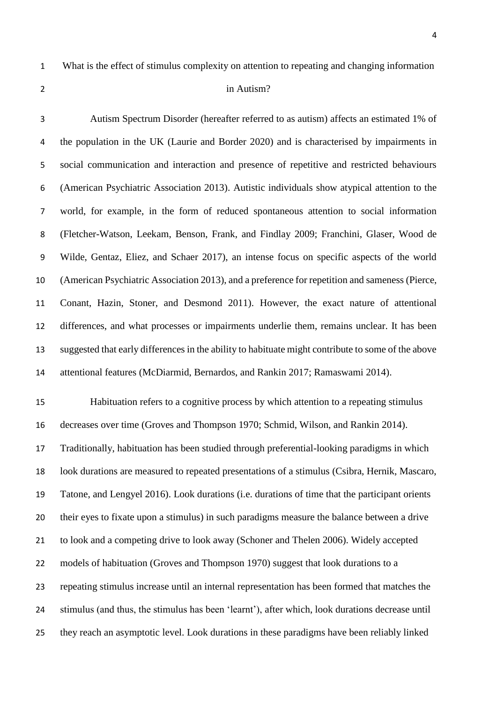#### 2 in Autism?

 Autism Spectrum Disorder (hereafter referred to as autism) affects an estimated 1% of the population in the UK (Laurie and Border 2020) and is characterised by impairments in social communication and interaction and presence of repetitive and restricted behaviours (American Psychiatric Association 2013). Autistic individuals show atypical attention to the world, for example, in the form of reduced spontaneous attention to social information (Fletcher-Watson, Leekam, Benson, Frank, and Findlay 2009; Franchini, Glaser, Wood de Wilde, Gentaz, Eliez, and Schaer 2017), an intense focus on specific aspects of the world (American Psychiatric Association 2013), and a preference for repetition and sameness (Pierce, Conant, Hazin, Stoner, and Desmond 2011). However, the exact nature of attentional differences, and what processes or impairments underlie them, remains unclear. It has been suggested that early differences in the ability to habituate might contribute to some of the above attentional features (McDiarmid, Bernardos, and Rankin 2017; Ramaswami 2014).

 Habituation refers to a cognitive process by which attention to a repeating stimulus decreases over time (Groves and Thompson 1970; Schmid, Wilson, and Rankin 2014). Traditionally, habituation has been studied through preferential-looking paradigms in which look durations are measured to repeated presentations of a stimulus (Csibra, Hernik, Mascaro, Tatone, and Lengyel 2016). Look durations (i.e. durations of time that the participant orients their eyes to fixate upon a stimulus) in such paradigms measure the balance between a drive to look and a competing drive to look away (Schoner and Thelen 2006). Widely accepted models of habituation (Groves and Thompson 1970) suggest that look durations to a repeating stimulus increase until an internal representation has been formed that matches the stimulus (and thus, the stimulus has been 'learnt'), after which, look durations decrease until they reach an asymptotic level. Look durations in these paradigms have been reliably linked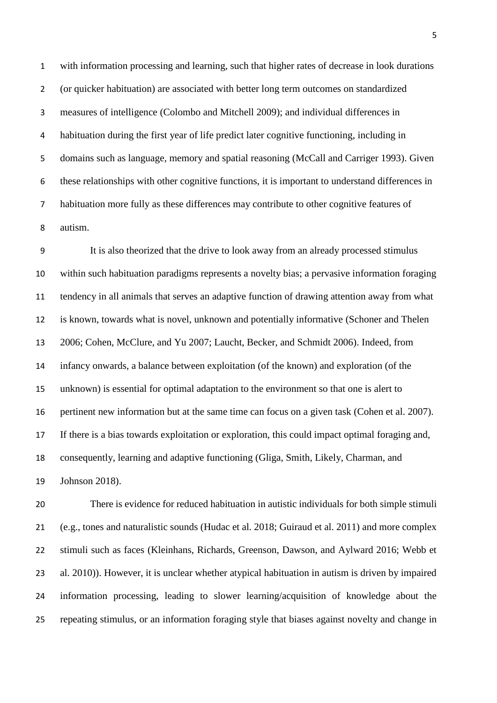with information processing and learning, such that higher rates of decrease in look durations (or quicker habituation) are associated with better long term outcomes on standardized measures of intelligence (Colombo and Mitchell 2009); and individual differences in habituation during the first year of life predict later cognitive functioning, including in domains such as language, memory and spatial reasoning (McCall and Carriger 1993). Given these relationships with other cognitive functions, it is important to understand differences in habituation more fully as these differences may contribute to other cognitive features of autism.

 It is also theorized that the drive to look away from an already processed stimulus within such habituation paradigms represents a novelty bias; a pervasive information foraging tendency in all animals that serves an adaptive function of drawing attention away from what is known, towards what is novel, unknown and potentially informative (Schoner and Thelen 2006; Cohen, McClure, and Yu 2007; Laucht, Becker, and Schmidt 2006). Indeed, from infancy onwards, a balance between exploitation (of the known) and exploration (of the unknown) is essential for optimal adaptation to the environment so that one is alert to pertinent new information but at the same time can focus on a given task (Cohen et al. 2007). If there is a bias towards exploitation or exploration, this could impact optimal foraging and, consequently, learning and adaptive functioning (Gliga, Smith, Likely, Charman, and Johnson 2018).

 There is evidence for reduced habituation in autistic individuals for both simple stimuli (e.g., tones and naturalistic sounds (Hudac et al. 2018; Guiraud et al. 2011) and more complex stimuli such as faces (Kleinhans, Richards, Greenson, Dawson, and Aylward 2016; Webb et al. 2010)). However, it is unclear whether atypical habituation in autism is driven by impaired information processing, leading to slower learning/acquisition of knowledge about the repeating stimulus, or an information foraging style that biases against novelty and change in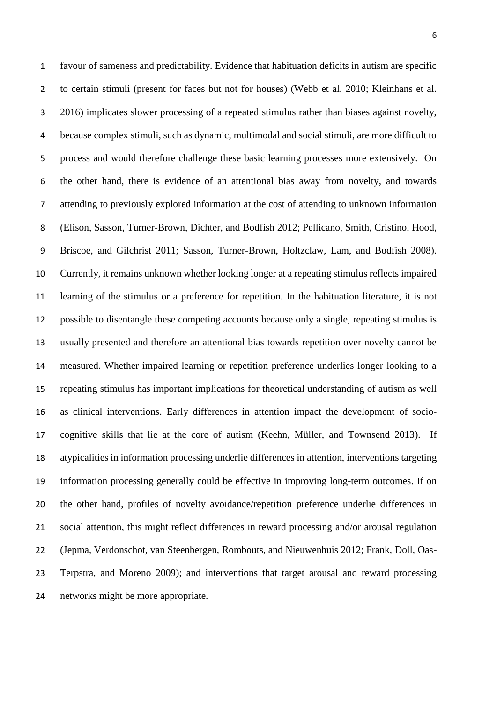favour of sameness and predictability. Evidence that habituation deficits in autism are specific to certain stimuli (present for faces but not for houses) (Webb et al. 2010; Kleinhans et al. 2016) implicates slower processing of a repeated stimulus rather than biases against novelty, because complex stimuli, such as dynamic, multimodal and social stimuli, are more difficult to process and would therefore challenge these basic learning processes more extensively. On the other hand, there is evidence of an attentional bias away from novelty, and towards attending to previously explored information at the cost of attending to unknown information (Elison, Sasson, Turner-Brown, Dichter, and Bodfish 2012; Pellicano, Smith, Cristino, Hood, Briscoe, and Gilchrist 2011; Sasson, Turner-Brown, Holtzclaw, Lam, and Bodfish 2008). Currently, it remains unknown whether looking longer at a repeating stimulus reflects impaired learning of the stimulus or a preference for repetition. In the habituation literature, it is not possible to disentangle these competing accounts because only a single, repeating stimulus is usually presented and therefore an attentional bias towards repetition over novelty cannot be measured. Whether impaired learning or repetition preference underlies longer looking to a repeating stimulus has important implications for theoretical understanding of autism as well as clinical interventions. Early differences in attention impact the development of socio- cognitive skills that lie at the core of autism (Keehn, Müller, and Townsend 2013). If atypicalities in information processing underlie differences in attention, interventions targeting information processing generally could be effective in improving long-term outcomes. If on the other hand, profiles of novelty avoidance/repetition preference underlie differences in social attention, this might reflect differences in reward processing and/or arousal regulation (Jepma, Verdonschot, van Steenbergen, Rombouts, and Nieuwenhuis 2012; Frank, Doll, Oas- Terpstra, and Moreno 2009); and interventions that target arousal and reward processing networks might be more appropriate.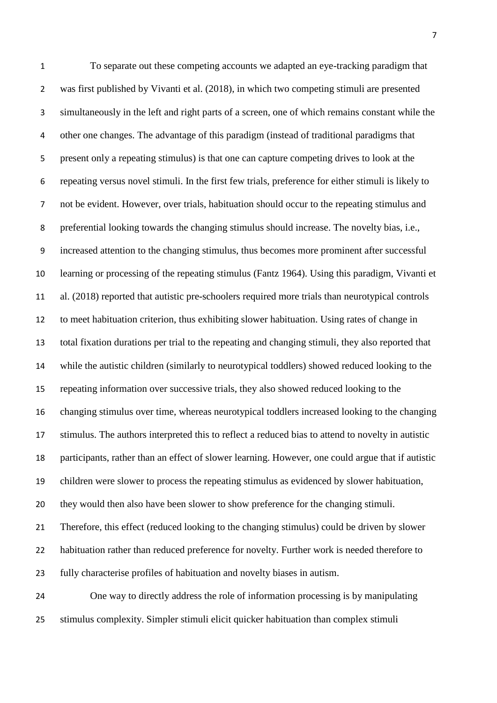To separate out these competing accounts we adapted an eye-tracking paradigm that was first published by Vivanti et al. (2018), in which two competing stimuli are presented simultaneously in the left and right parts of a screen, one of which remains constant while the other one changes. The advantage of this paradigm (instead of traditional paradigms that present only a repeating stimulus) is that one can capture competing drives to look at the repeating versus novel stimuli. In the first few trials, preference for either stimuli is likely to not be evident. However, over trials, habituation should occur to the repeating stimulus and preferential looking towards the changing stimulus should increase. The novelty bias, i.e., increased attention to the changing stimulus, thus becomes more prominent after successful learning or processing of the repeating stimulus (Fantz 1964). Using this paradigm, Vivanti et al. (2018) reported that autistic pre-schoolers required more trials than neurotypical controls to meet habituation criterion, thus exhibiting slower habituation. Using rates of change in total fixation durations per trial to the repeating and changing stimuli, they also reported that while the autistic children (similarly to neurotypical toddlers) showed reduced looking to the repeating information over successive trials, they also showed reduced looking to the changing stimulus over time, whereas neurotypical toddlers increased looking to the changing stimulus. The authors interpreted this to reflect a reduced bias to attend to novelty in autistic participants, rather than an effect of slower learning. However, one could argue that if autistic children were slower to process the repeating stimulus as evidenced by slower habituation, they would then also have been slower to show preference for the changing stimuli. Therefore, this effect (reduced looking to the changing stimulus) could be driven by slower habituation rather than reduced preference for novelty. Further work is needed therefore to fully characterise profiles of habituation and novelty biases in autism. One way to directly address the role of information processing is by manipulating stimulus complexity. Simpler stimuli elicit quicker habituation than complex stimuli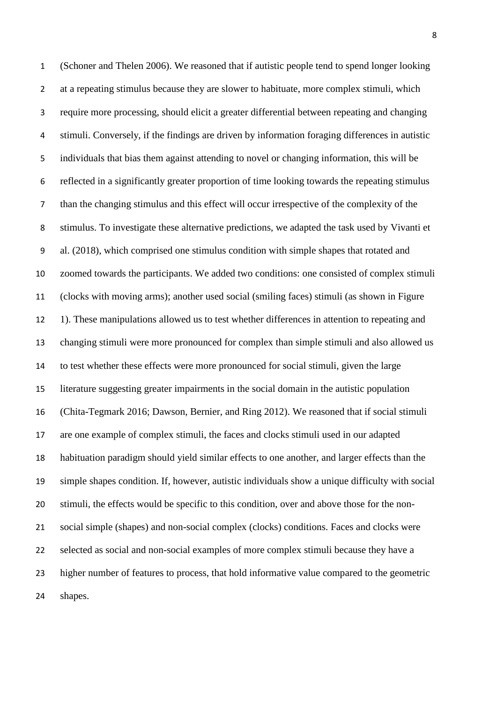(Schoner and Thelen 2006). We reasoned that if autistic people tend to spend longer looking at a repeating stimulus because they are slower to habituate, more complex stimuli, which require more processing, should elicit a greater differential between repeating and changing stimuli. Conversely, if the findings are driven by information foraging differences in autistic individuals that bias them against attending to novel or changing information, this will be reflected in a significantly greater proportion of time looking towards the repeating stimulus than the changing stimulus and this effect will occur irrespective of the complexity of the stimulus. To investigate these alternative predictions, we adapted the task used by Vivanti et al. (2018), which comprised one stimulus condition with simple shapes that rotated and zoomed towards the participants. We added two conditions: one consisted of complex stimuli (clocks with moving arms); another used social (smiling faces) stimuli (as shown in Figure 1). These manipulations allowed us to test whether differences in attention to repeating and changing stimuli were more pronounced for complex than simple stimuli and also allowed us to test whether these effects were more pronounced for social stimuli, given the large literature suggesting greater impairments in the social domain in the autistic population (Chita-Tegmark 2016; Dawson, Bernier, and Ring 2012). We reasoned that if social stimuli are one example of complex stimuli, the faces and clocks stimuli used in our adapted habituation paradigm should yield similar effects to one another, and larger effects than the simple shapes condition. If, however, autistic individuals show a unique difficulty with social stimuli, the effects would be specific to this condition, over and above those for the non- social simple (shapes) and non-social complex (clocks) conditions. Faces and clocks were selected as social and non-social examples of more complex stimuli because they have a higher number of features to process, that hold informative value compared to the geometric shapes.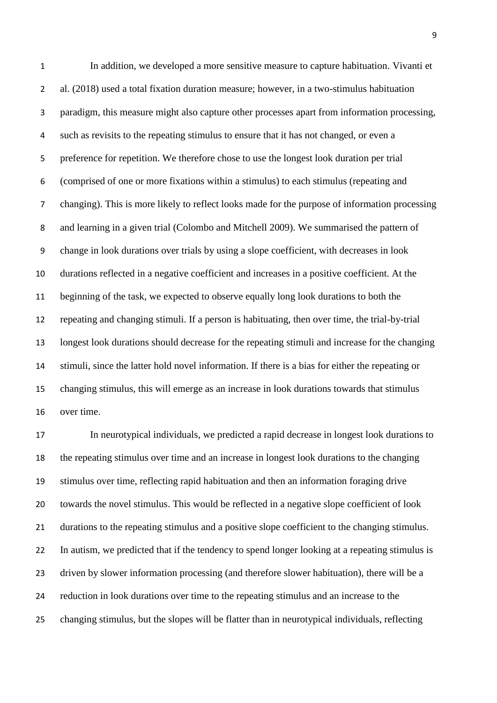In addition, we developed a more sensitive measure to capture habituation. Vivanti et al. (2018) used a total fixation duration measure; however, in a two-stimulus habituation paradigm, this measure might also capture other processes apart from information processing, such as revisits to the repeating stimulus to ensure that it has not changed, or even a preference for repetition. We therefore chose to use the longest look duration per trial (comprised of one or more fixations within a stimulus) to each stimulus (repeating and changing). This is more likely to reflect looks made for the purpose of information processing and learning in a given trial (Colombo and Mitchell 2009). We summarised the pattern of change in look durations over trials by using a slope coefficient, with decreases in look durations reflected in a negative coefficient and increases in a positive coefficient. At the beginning of the task, we expected to observe equally long look durations to both the repeating and changing stimuli. If a person is habituating, then over time, the trial-by-trial longest look durations should decrease for the repeating stimuli and increase for the changing stimuli, since the latter hold novel information. If there is a bias for either the repeating or changing stimulus, this will emerge as an increase in look durations towards that stimulus over time.

 In neurotypical individuals, we predicted a rapid decrease in longest look durations to the repeating stimulus over time and an increase in longest look durations to the changing stimulus over time, reflecting rapid habituation and then an information foraging drive towards the novel stimulus. This would be reflected in a negative slope coefficient of look durations to the repeating stimulus and a positive slope coefficient to the changing stimulus. In autism, we predicted that if the tendency to spend longer looking at a repeating stimulus is driven by slower information processing (and therefore slower habituation), there will be a reduction in look durations over time to the repeating stimulus and an increase to the changing stimulus, but the slopes will be flatter than in neurotypical individuals, reflecting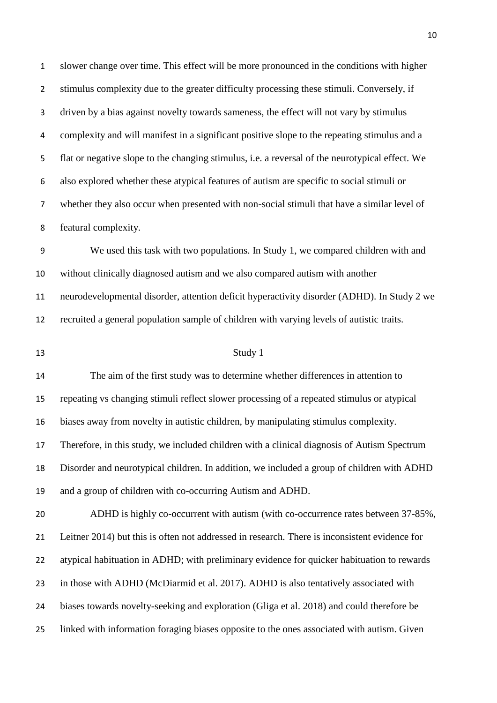slower change over time. This effect will be more pronounced in the conditions with higher stimulus complexity due to the greater difficulty processing these stimuli. Conversely, if driven by a bias against novelty towards sameness, the effect will not vary by stimulus complexity and will manifest in a significant positive slope to the repeating stimulus and a flat or negative slope to the changing stimulus, i.e. a reversal of the neurotypical effect. We also explored whether these atypical features of autism are specific to social stimuli or whether they also occur when presented with non-social stimuli that have a similar level of featural complexity.

 We used this task with two populations. In Study 1, we compared children with and without clinically diagnosed autism and we also compared autism with another neurodevelopmental disorder, attention deficit hyperactivity disorder (ADHD). In Study 2 we recruited a general population sample of children with varying levels of autistic traits.

Study 1

 The aim of the first study was to determine whether differences in attention to repeating vs changing stimuli reflect slower processing of a repeated stimulus or atypical biases away from novelty in autistic children, by manipulating stimulus complexity. Therefore, in this study, we included children with a clinical diagnosis of Autism Spectrum Disorder and neurotypical children. In addition, we included a group of children with ADHD and a group of children with co-occurring Autism and ADHD.

 ADHD is highly co-occurrent with autism (with co-occurrence rates between 37-85%, Leitner 2014) but this is often not addressed in research. There is inconsistent evidence for atypical habituation in ADHD; with preliminary evidence for quicker habituation to rewards in those with ADHD (McDiarmid et al. 2017). ADHD is also tentatively associated with biases towards novelty-seeking and exploration (Gliga et al. 2018) and could therefore be linked with information foraging biases opposite to the ones associated with autism. Given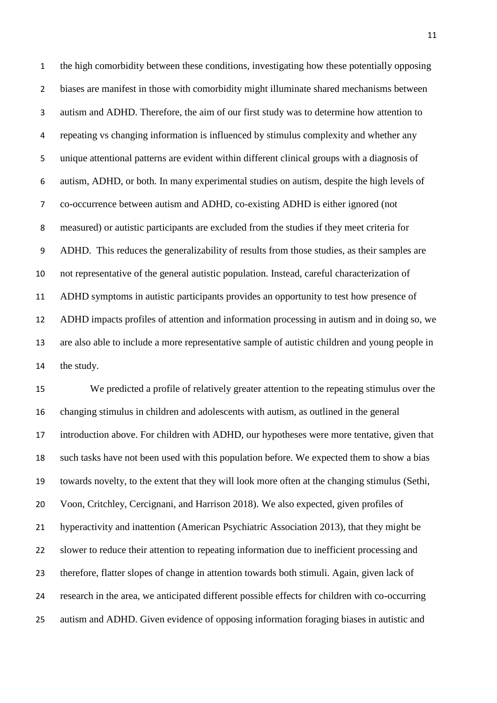the high comorbidity between these conditions, investigating how these potentially opposing biases are manifest in those with comorbidity might illuminate shared mechanisms between autism and ADHD. Therefore, the aim of our first study was to determine how attention to repeating vs changing information is influenced by stimulus complexity and whether any unique attentional patterns are evident within different clinical groups with a diagnosis of autism, ADHD, or both. In many experimental studies on autism, despite the high levels of co-occurrence between autism and ADHD, co-existing ADHD is either ignored (not measured) or autistic participants are excluded from the studies if they meet criteria for ADHD. This reduces the generalizability of results from those studies, as their samples are not representative of the general autistic population. Instead, careful characterization of ADHD symptoms in autistic participants provides an opportunity to test how presence of ADHD impacts profiles of attention and information processing in autism and in doing so, we are also able to include a more representative sample of autistic children and young people in the study.

 We predicted a profile of relatively greater attention to the repeating stimulus over the changing stimulus in children and adolescents with autism, as outlined in the general introduction above. For children with ADHD, our hypotheses were more tentative, given that such tasks have not been used with this population before. We expected them to show a bias towards novelty, to the extent that they will look more often at the changing stimulus (Sethi, Voon, Critchley, Cercignani, and Harrison 2018). We also expected, given profiles of hyperactivity and inattention (American Psychiatric Association 2013), that they might be slower to reduce their attention to repeating information due to inefficient processing and therefore, flatter slopes of change in attention towards both stimuli. Again, given lack of research in the area, we anticipated different possible effects for children with co-occurring autism and ADHD. Given evidence of opposing information foraging biases in autistic and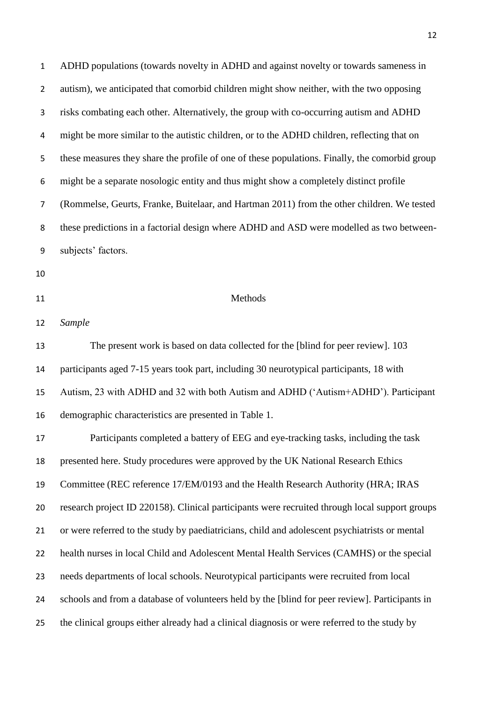ADHD populations (towards novelty in ADHD and against novelty or towards sameness in autism), we anticipated that comorbid children might show neither, with the two opposing risks combating each other. Alternatively, the group with co-occurring autism and ADHD might be more similar to the autistic children, or to the ADHD children, reflecting that on these measures they share the profile of one of these populations. Finally, the comorbid group might be a separate nosologic entity and thus might show a completely distinct profile (Rommelse, Geurts, Franke, Buitelaar, and Hartman 2011) from the other children. We tested these predictions in a factorial design where ADHD and ASD were modelled as two between-subjects' factors.

- 
- 

# 11 Methods

*Sample*

 The present work is based on data collected for the [blind for peer review]. 103 participants aged 7-15 years took part, including 30 neurotypical participants, 18 with Autism, 23 with ADHD and 32 with both Autism and ADHD ('Autism+ADHD'). Participant demographic characteristics are presented in Table 1.

 Participants completed a battery of EEG and eye-tracking tasks, including the task presented here. Study procedures were approved by the UK National Research Ethics Committee (REC reference 17/EM/0193 and the Health Research Authority (HRA; IRAS research project ID 220158). Clinical participants were recruited through local support groups or were referred to the study by paediatricians, child and adolescent psychiatrists or mental health nurses in local Child and Adolescent Mental Health Services (CAMHS) or the special needs departments of local schools. Neurotypical participants were recruited from local schools and from a database of volunteers held by the [blind for peer review]. Participants in the clinical groups either already had a clinical diagnosis or were referred to the study by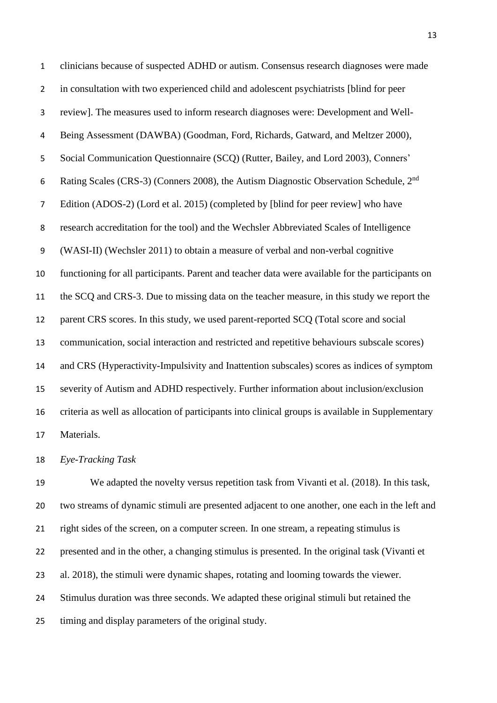clinicians because of suspected ADHD or autism. Consensus research diagnoses were made in consultation with two experienced child and adolescent psychiatrists [blind for peer review]. The measures used to inform research diagnoses were: Development and Well- Being Assessment (DAWBA) (Goodman, Ford, Richards, Gatward, and Meltzer 2000), Social Communication Questionnaire (SCQ) (Rutter, Bailey, and Lord 2003), Conners' 6 Rating Scales (CRS-3) (Conners 2008), the Autism Diagnostic Observation Schedule, 2<sup>nd</sup> Edition (ADOS-2) (Lord et al. 2015) (completed by [blind for peer review] who have research accreditation for the tool) and the Wechsler Abbreviated Scales of Intelligence (WASI-II) (Wechsler 2011) to obtain a measure of verbal and non-verbal cognitive functioning for all participants. Parent and teacher data were available for the participants on the SCQ and CRS-3. Due to missing data on the teacher measure, in this study we report the parent CRS scores. In this study, we used parent-reported SCQ (Total score and social communication, social interaction and restricted and repetitive behaviours subscale scores) and CRS (Hyperactivity-Impulsivity and Inattention subscales) scores as indices of symptom severity of Autism and ADHD respectively. Further information about inclusion/exclusion criteria as well as allocation of participants into clinical groups is available in Supplementary Materials.

*Eye-Tracking Task*

 We adapted the novelty versus repetition task from Vivanti et al. (2018). In this task, two streams of dynamic stimuli are presented adjacent to one another, one each in the left and right sides of the screen, on a computer screen. In one stream, a repeating stimulus is presented and in the other, a changing stimulus is presented. In the original task (Vivanti et al. 2018), the stimuli were dynamic shapes, rotating and looming towards the viewer. Stimulus duration was three seconds. We adapted these original stimuli but retained the timing and display parameters of the original study.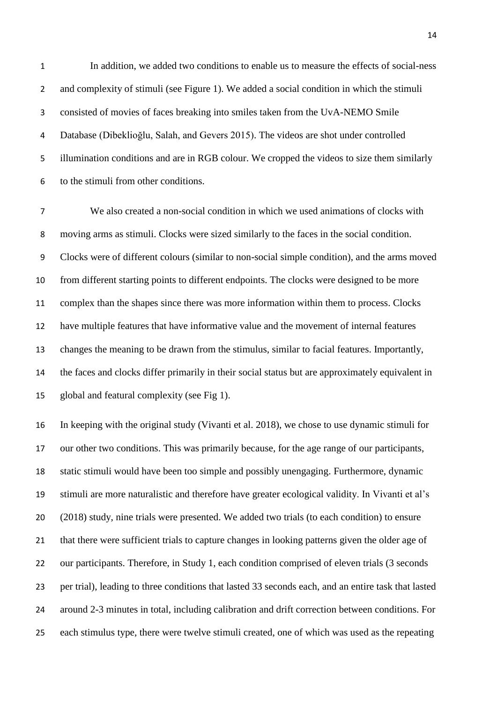In addition, we added two conditions to enable us to measure the effects of social-ness and complexity of stimuli (see Figure 1). We added a social condition in which the stimuli consisted of movies of faces breaking into smiles taken from the UvA-NEMO Smile Database (Dibeklioğlu, Salah, and Gevers 2015). The videos are shot under controlled illumination conditions and are in RGB colour. We cropped the videos to size them similarly to the stimuli from other conditions.

 We also created a non-social condition in which we used animations of clocks with moving arms as stimuli. Clocks were sized similarly to the faces in the social condition. Clocks were of different colours (similar to non-social simple condition), and the arms moved from different starting points to different endpoints. The clocks were designed to be more complex than the shapes since there was more information within them to process. Clocks have multiple features that have informative value and the movement of internal features changes the meaning to be drawn from the stimulus, similar to facial features. Importantly, the faces and clocks differ primarily in their social status but are approximately equivalent in global and featural complexity (see Fig 1).

 In keeping with the original study (Vivanti et al. 2018), we chose to use dynamic stimuli for our other two conditions. This was primarily because, for the age range of our participants, static stimuli would have been too simple and possibly unengaging. Furthermore, dynamic stimuli are more naturalistic and therefore have greater ecological validity. In Vivanti et al's (2018) study, nine trials were presented. We added two trials (to each condition) to ensure that there were sufficient trials to capture changes in looking patterns given the older age of 22 our participants. Therefore, in Study 1, each condition comprised of eleven trials (3 seconds per trial), leading to three conditions that lasted 33 seconds each, and an entire task that lasted around 2-3 minutes in total, including calibration and drift correction between conditions. For each stimulus type, there were twelve stimuli created, one of which was used as the repeating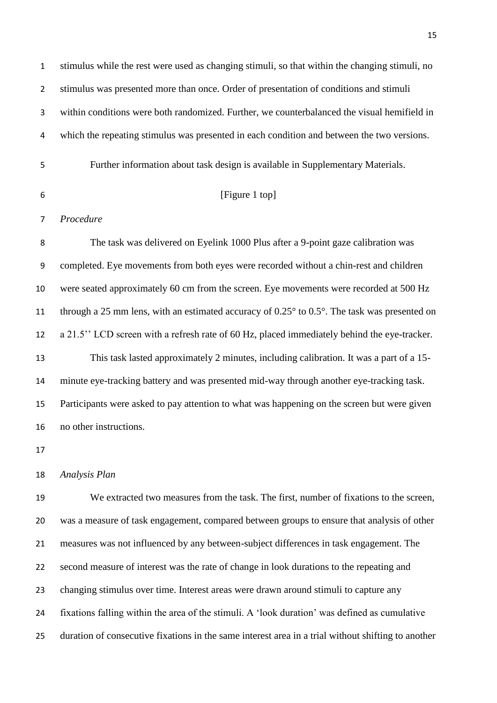| $\mathbf 1$    | stimulus while the rest were used as changing stimuli, so that within the changing stimuli, no                  |
|----------------|-----------------------------------------------------------------------------------------------------------------|
| $\overline{2}$ | stimulus was presented more than once. Order of presentation of conditions and stimuli                          |
| 3              | within conditions were both randomized. Further, we counterbalanced the visual hemifield in                     |
| 4              | which the repeating stimulus was presented in each condition and between the two versions.                      |
| 5              | Further information about task design is available in Supplementary Materials.                                  |
| 6              | [Figure 1 top]                                                                                                  |
| $\overline{7}$ | Procedure                                                                                                       |
| 8              | The task was delivered on Eyelink 1000 Plus after a 9-point gaze calibration was                                |
| 9              | completed. Eye movements from both eyes were recorded without a chin-rest and children                          |
| 10             | were seated approximately 60 cm from the screen. Eye movements were recorded at 500 Hz                          |
| 11             | through a 25 mm lens, with an estimated accuracy of $0.25^{\circ}$ to $0.5^{\circ}$ . The task was presented on |
| 12             | a 21.5" LCD screen with a refresh rate of 60 Hz, placed immediately behind the eye-tracker.                     |
| 13             | This task lasted approximately 2 minutes, including calibration. It was a part of a 15-                         |
| 14             | minute eye-tracking battery and was presented mid-way through another eye-tracking task.                        |
| 15             | Participants were asked to pay attention to what was happening on the screen but were given                     |
| 16             | no other instructions.                                                                                          |
| 17             |                                                                                                                 |
| 18             | Analysis Plan                                                                                                   |
| 19             | We extracted two measures from the task. The first, number of fixations to the screen,                          |
| 20             | was a measure of task engagement, compared between groups to ensure that analysis of other                      |
| 21             | measures was not influenced by any between-subject differences in task engagement. The                          |
| 22             | second measure of interest was the rate of change in look durations to the repeating and                        |

changing stimulus over time. Interest areas were drawn around stimuli to capture any

fixations falling within the area of the stimuli. A 'look duration' was defined as cumulative

duration of consecutive fixations in the same interest area in a trial without shifting to another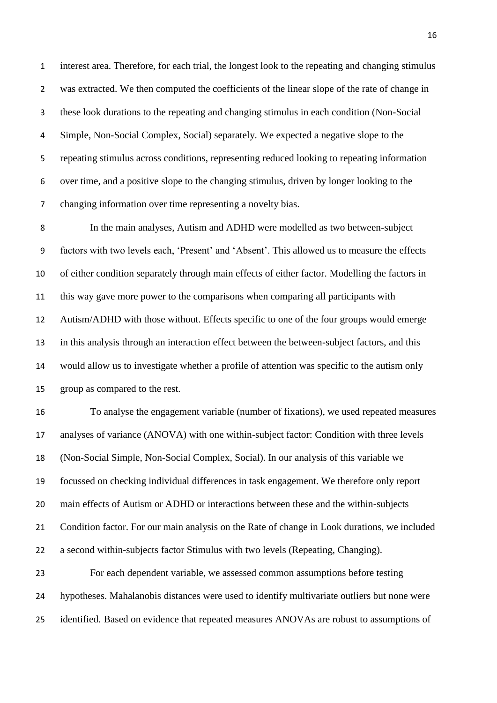interest area. Therefore, for each trial, the longest look to the repeating and changing stimulus was extracted. We then computed the coefficients of the linear slope of the rate of change in these look durations to the repeating and changing stimulus in each condition (Non-Social Simple, Non-Social Complex, Social) separately. We expected a negative slope to the repeating stimulus across conditions, representing reduced looking to repeating information over time, and a positive slope to the changing stimulus, driven by longer looking to the changing information over time representing a novelty bias.

 In the main analyses, Autism and ADHD were modelled as two between-subject factors with two levels each, 'Present' and 'Absent'. This allowed us to measure the effects of either condition separately through main effects of either factor. Modelling the factors in this way gave more power to the comparisons when comparing all participants with Autism/ADHD with those without. Effects specific to one of the four groups would emerge in this analysis through an interaction effect between the between-subject factors, and this would allow us to investigate whether a profile of attention was specific to the autism only group as compared to the rest.

 To analyse the engagement variable (number of fixations), we used repeated measures analyses of variance (ANOVA) with one within-subject factor: Condition with three levels (Non-Social Simple, Non-Social Complex, Social). In our analysis of this variable we focussed on checking individual differences in task engagement. We therefore only report main effects of Autism or ADHD or interactions between these and the within-subjects Condition factor. For our main analysis on the Rate of change in Look durations, we included a second within-subjects factor Stimulus with two levels (Repeating, Changing). For each dependent variable, we assessed common assumptions before testing hypotheses. Mahalanobis distances were used to identify multivariate outliers but none were

identified. Based on evidence that repeated measures ANOVAs are robust to assumptions of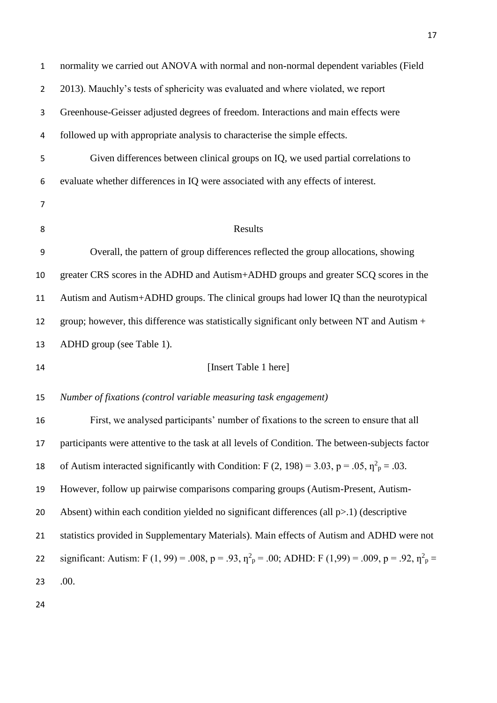| $\mathbf{1}$   | normality we carried out ANOVA with normal and non-normal dependent variables (Field                                                 |
|----------------|--------------------------------------------------------------------------------------------------------------------------------------|
| $\overline{2}$ | 2013). Mauchly's tests of sphericity was evaluated and where violated, we report                                                     |
| 3              | Greenhouse-Geisser adjusted degrees of freedom. Interactions and main effects were                                                   |
| 4              | followed up with appropriate analysis to characterise the simple effects.                                                            |
| 5              | Given differences between clinical groups on IQ, we used partial correlations to                                                     |
| 6              | evaluate whether differences in IQ were associated with any effects of interest.                                                     |
| $\overline{7}$ |                                                                                                                                      |
| 8              | Results                                                                                                                              |
| 9              | Overall, the pattern of group differences reflected the group allocations, showing                                                   |
| 10             | greater CRS scores in the ADHD and Autism+ADHD groups and greater SCQ scores in the                                                  |
| 11             | Autism and Autism+ADHD groups. The clinical groups had lower IQ than the neurotypical                                                |
| 12             | group; however, this difference was statistically significant only between NT and Autism $+$                                         |
| 13             | ADHD group (see Table 1).                                                                                                            |
| 14             | [Insert Table 1 here]                                                                                                                |
| 15             | Number of fixations (control variable measuring task engagement)                                                                     |
| 16             | First, we analysed participants' number of fixations to the screen to ensure that all                                                |
| 17             | participants were attentive to the task at all levels of Condition. The between-subjects factor                                      |
| 18             | of Autism interacted significantly with Condition: F (2, 198) = 3.03, p = .05, $\eta^2$ <sub>p</sub> = .03.                          |
| 19             | However, follow up pairwise comparisons comparing groups (Autism-Present, Autism-                                                    |
| 20             | Absent) within each condition yielded no significant differences (all $p$ >.1) (descriptive                                          |
| 21             | statistics provided in Supplementary Materials). Main effects of Autism and ADHD were not                                            |
| 22             | significant: Autism: F (1, 99) = .008, p = .93, $\eta^2$ <sub>p</sub> = .00; ADHD: F (1,99) = .009, p = .92, $\eta^2$ <sub>p</sub> = |
| 23             | .00.                                                                                                                                 |
| 24             |                                                                                                                                      |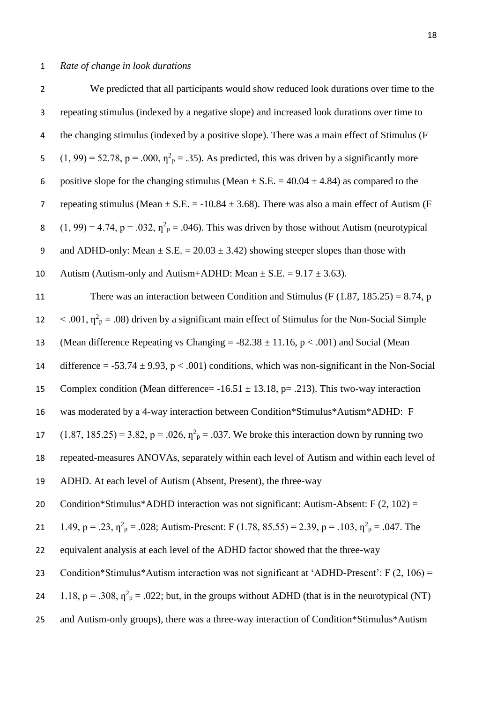| $\overline{2}$   | We predicted that all participants would show reduced look durations over time to the                                            |
|------------------|----------------------------------------------------------------------------------------------------------------------------------|
| 3                | repeating stimulus (indexed by a negative slope) and increased look durations over time to                                       |
| 4                | the changing stimulus (indexed by a positive slope). There was a main effect of Stimulus (F                                      |
| 5                | $(1, 99) = 52.78$ , p = .000, $\eta^2$ <sub>p</sub> = .35). As predicted, this was driven by a significantly more                |
| 6                | positive slope for the changing stimulus (Mean $\pm$ S.E. = 40.04 $\pm$ 4.84) as compared to the                                 |
| $\overline{7}$   | repeating stimulus (Mean $\pm$ S.E. = -10.84 $\pm$ 3.68). There was also a main effect of Autism (F                              |
| 8                | $(1, 99) = 4.74$ , p = .032, $\eta^2$ <sub>p</sub> = .046). This was driven by those without Autism (neurotypical                |
| $\boldsymbol{9}$ | and ADHD-only: Mean $\pm$ S.E. = 20.03 $\pm$ 3.42) showing steeper slopes than those with                                        |
| 10               | Autism (Autism-only and Autism+ADHD: Mean $\pm$ S.E. = 9.17 $\pm$ 3.63).                                                         |
| 11               | There was an interaction between Condition and Stimulus (F $(1.87, 185.25) = 8.74$ , p                                           |
| 12               | $\langle 0.001, \eta^2 \rangle$ = .08) driven by a significant main effect of Stimulus for the Non-Social Simple                 |
| 13               | (Mean difference Repeating vs Changing = $-82.38 \pm 11.16$ , p < .001) and Social (Mean                                         |
| 14               | difference = $-53.74 \pm 9.93$ , p < .001) conditions, which was non-significant in the Non-Social                               |
| 15               | Complex condition (Mean difference = $-16.51 \pm 13.18$ , p = .213). This two-way interaction                                    |
| 16               | was moderated by a 4-way interaction between Condition*Stimulus*Autism*ADHD: F                                                   |
| 17               | $(1.87, 185.25) = 3.82$ , p = .026, $\eta^2$ <sub>p</sub> = .037. We broke this interaction down by running two                  |
| 18               | repeated-measures ANOVAs, separately within each level of Autism and within each level of                                        |
| 19               | ADHD. At each level of Autism (Absent, Present), the three-way                                                                   |
| 20               | Condition*Stimulus*ADHD interaction was not significant: Autism-Absent: $F(2, 102) =$                                            |
| 21               | 1.49, p = .23, $\eta^2$ <sub>p</sub> = .028; Autism-Present: F (1.78, 85.55) = 2.39, p = .103, $\eta^2$ <sub>p</sub> = .047. The |
| 22               | equivalent analysis at each level of the ADHD factor showed that the three-way                                                   |
| 23               | Condition*Stimulus*Autism interaction was not significant at 'ADHD-Present': $F(2, 106) =$                                       |
| 24               | 1.18, $p = .308$ , $\eta^2$ <sub>p</sub> = .022; but, in the groups without ADHD (that is in the neurotypical (NT)               |
| 25               | and Autism-only groups), there was a three-way interaction of Condition*Stimulus*Autism                                          |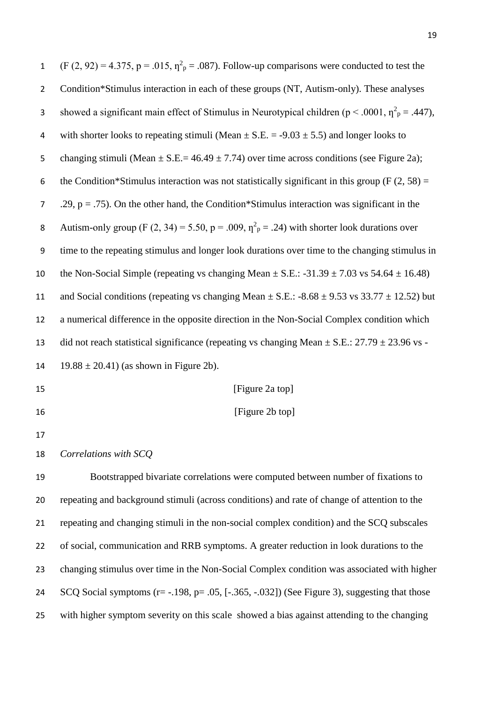| $\mathbf{1}$   | $(F (2, 92) = 4.375, p = .015, \eta2p = .087)$ . Follow-up comparisons were conducted to test the                    |
|----------------|----------------------------------------------------------------------------------------------------------------------|
| $\overline{2}$ | Condition*Stimulus interaction in each of these groups (NT, Autism-only). These analyses                             |
| 3              | showed a significant main effect of Stimulus in Neurotypical children ( $p < .0001$ , $\eta^2$ <sub>p</sub> = .447), |
| 4              | with shorter looks to repeating stimuli (Mean $\pm$ S.E. = -9.03 $\pm$ 5.5) and longer looks to                      |
| 5              | changing stimuli (Mean $\pm$ S.E.= 46.49 $\pm$ 7.74) over time across conditions (see Figure 2a);                    |
| 6              | the Condition*Stimulus interaction was not statistically significant in this group ( $F(2, 58) =$                    |
| $\overline{7}$ | .29, $p = .75$ ). On the other hand, the Condition*Stimulus interaction was significant in the                       |
| 8              | Autism-only group (F (2, 34) = 5.50, p = .009, $\eta^2$ <sub>p</sub> = .24) with shorter look durations over         |
| 9              | time to the repeating stimulus and longer look durations over time to the changing stimulus in                       |
| 10             | the Non-Social Simple (repeating vs changing Mean $\pm$ S.E.: -31.39 $\pm$ 7.03 vs 54.64 $\pm$ 16.48)                |
| 11             | and Social conditions (repeating vs changing Mean $\pm$ S.E.: -8.68 $\pm$ 9.53 vs 33.77 $\pm$ 12.52) but             |
| 12             | a numerical difference in the opposite direction in the Non-Social Complex condition which                           |
| 13             | did not reach statistical significance (repeating vs changing Mean $\pm$ S.E.: 27.79 $\pm$ 23.96 vs -                |
| 14             | $19.88 \pm 20.41$ ) (as shown in Figure 2b).                                                                         |
| 15             | [Figure 2a top]                                                                                                      |
| 16             | [Figure 2b top]                                                                                                      |
| 17             |                                                                                                                      |
| 18             | Correlations with SCQ                                                                                                |
| 19             | Bootstrapped bivariate correlations were computed between number of fixations to                                     |
| 20             | repeating and background stimuli (across conditions) and rate of change of attention to the                          |
| 21             | repeating and changing stimuli in the non-social complex condition) and the SCQ subscales                            |
| 22             | of social, communication and RRB symptoms. A greater reduction in look durations to the                              |
| 23             | changing stimulus over time in the Non-Social Complex condition was associated with higher                           |
| 24             | SCQ Social symptoms $(r = -.198, p = .05, [-.365, -.032])$ (See Figure 3), suggesting that those                     |
|                |                                                                                                                      |

with higher symptom severity on this scale showed a bias against attending to the changing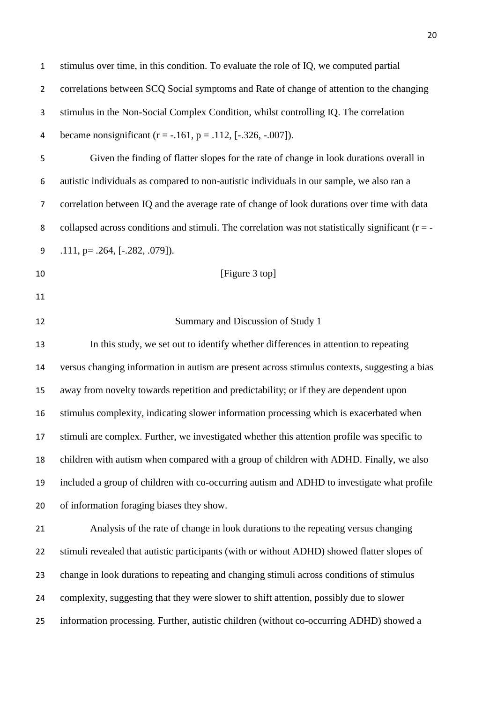| $\mathbf{1}$   | stimulus over time, in this condition. To evaluate the role of IQ, we computed partial                |
|----------------|-------------------------------------------------------------------------------------------------------|
| $\overline{2}$ | correlations between SCQ Social symptoms and Rate of change of attention to the changing              |
| 3              | stimulus in the Non-Social Complex Condition, whilst controlling IQ. The correlation                  |
| 4              | became nonsignificant $(r = -.161, p = .112, [-.326, -.007])$ .                                       |
| 5              | Given the finding of flatter slopes for the rate of change in look durations overall in               |
| 6              | autistic individuals as compared to non-autistic individuals in our sample, we also ran a             |
| $\overline{7}$ | correlation between IQ and the average rate of change of look durations over time with data           |
| 8              | collapsed across conditions and stimuli. The correlation was not statistically significant $(r = -1)$ |
| 9              | .111, $p = .264$ , [ $-.282$ , .079]).                                                                |
| 10             | [Figure 3 top]                                                                                        |
| 11             |                                                                                                       |
| 12             | Summary and Discussion of Study 1                                                                     |
| 13             | In this study, we set out to identify whether differences in attention to repeating                   |
| 14             | versus changing information in autism are present across stimulus contexts, suggesting a bias         |
| 15             | away from novelty towards repetition and predictability; or if they are dependent upon                |
| 16             | stimulus complexity, indicating slower information processing which is exacerbated when               |
| 17             | stimuli are complex. Further, we investigated whether this attention profile was specific to          |
| 18             | children with autism when compared with a group of children with ADHD. Finally, we also               |
| 19             | included a group of children with co-occurring autism and ADHD to investigate what profile            |
| 20             | of information foraging biases they show.                                                             |
| 21             | Analysis of the rate of change in look durations to the repeating versus changing                     |
| 22             | stimuli revealed that autistic participants (with or without ADHD) showed flatter slopes of           |
| 23             | change in look durations to repeating and changing stimuli across conditions of stimulus              |
| 24             | complexity, suggesting that they were slower to shift attention, possibly due to slower               |
| 25             | information processing. Further, autistic children (without co-occurring ADHD) showed a               |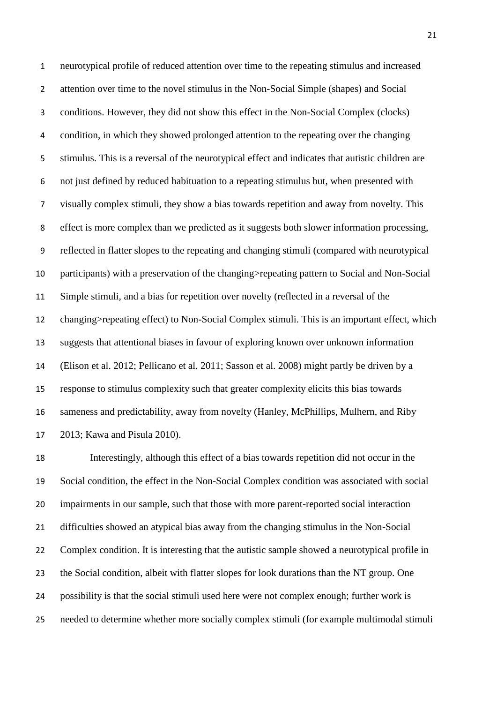neurotypical profile of reduced attention over time to the repeating stimulus and increased attention over time to the novel stimulus in the Non-Social Simple (shapes) and Social conditions. However, they did not show this effect in the Non-Social Complex (clocks) condition, in which they showed prolonged attention to the repeating over the changing stimulus. This is a reversal of the neurotypical effect and indicates that autistic children are not just defined by reduced habituation to a repeating stimulus but, when presented with visually complex stimuli, they show a bias towards repetition and away from novelty. This effect is more complex than we predicted as it suggests both slower information processing, reflected in flatter slopes to the repeating and changing stimuli (compared with neurotypical participants) with a preservation of the changing>repeating pattern to Social and Non-Social Simple stimuli, and a bias for repetition over novelty (reflected in a reversal of the changing>repeating effect) to Non-Social Complex stimuli. This is an important effect, which suggests that attentional biases in favour of exploring known over unknown information (Elison et al. 2012; Pellicano et al. 2011; Sasson et al. 2008) might partly be driven by a response to stimulus complexity such that greater complexity elicits this bias towards sameness and predictability, away from novelty (Hanley, McPhillips, Mulhern, and Riby 2013; Kawa and Pisula 2010).

 Interestingly, although this effect of a bias towards repetition did not occur in the Social condition, the effect in the Non-Social Complex condition was associated with social impairments in our sample, such that those with more parent-reported social interaction difficulties showed an atypical bias away from the changing stimulus in the Non-Social Complex condition. It is interesting that the autistic sample showed a neurotypical profile in the Social condition, albeit with flatter slopes for look durations than the NT group. One possibility is that the social stimuli used here were not complex enough; further work is needed to determine whether more socially complex stimuli (for example multimodal stimuli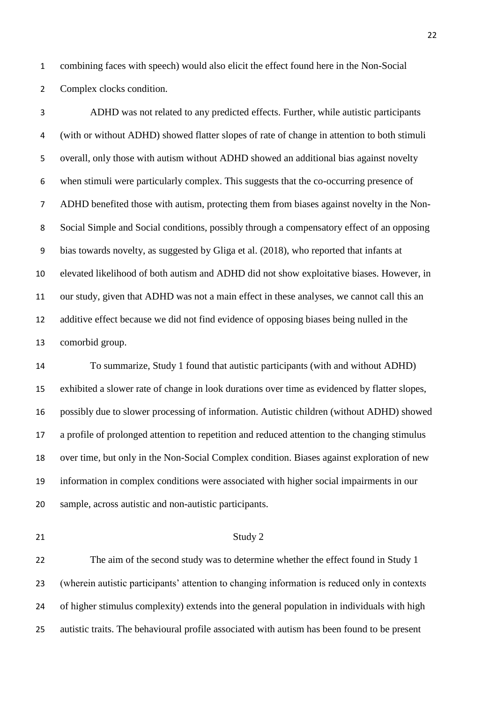combining faces with speech) would also elicit the effect found here in the Non-Social Complex clocks condition.

 ADHD was not related to any predicted effects. Further, while autistic participants (with or without ADHD) showed flatter slopes of rate of change in attention to both stimuli overall, only those with autism without ADHD showed an additional bias against novelty when stimuli were particularly complex. This suggests that the co-occurring presence of ADHD benefited those with autism, protecting them from biases against novelty in the Non- Social Simple and Social conditions, possibly through a compensatory effect of an opposing bias towards novelty, as suggested by Gliga et al. (2018), who reported that infants at elevated likelihood of both autism and ADHD did not show exploitative biases. However, in our study, given that ADHD was not a main effect in these analyses, we cannot call this an additive effect because we did not find evidence of opposing biases being nulled in the comorbid group.

 To summarize, Study 1 found that autistic participants (with and without ADHD) exhibited a slower rate of change in look durations over time as evidenced by flatter slopes, possibly due to slower processing of information. Autistic children (without ADHD) showed a profile of prolonged attention to repetition and reduced attention to the changing stimulus over time, but only in the Non-Social Complex condition. Biases against exploration of new information in complex conditions were associated with higher social impairments in our sample, across autistic and non-autistic participants.

### 21 Study 2

 The aim of the second study was to determine whether the effect found in Study 1 (wherein autistic participants' attention to changing information is reduced only in contexts of higher stimulus complexity) extends into the general population in individuals with high autistic traits. The behavioural profile associated with autism has been found to be present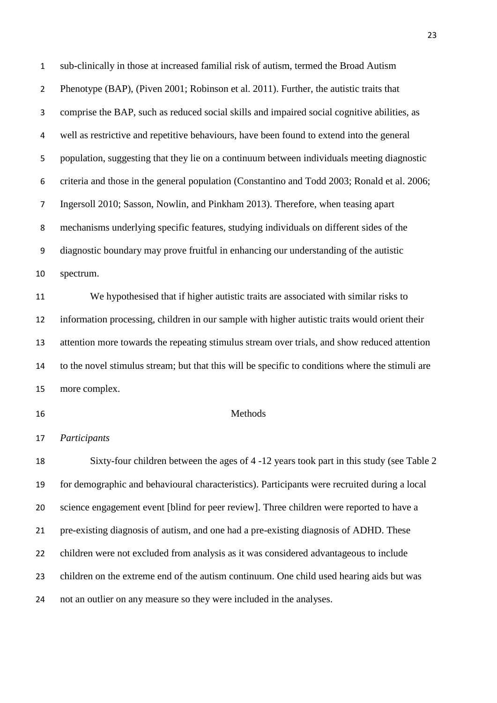sub-clinically in those at increased familial risk of autism, termed the Broad Autism Phenotype (BAP), (Piven 2001; Robinson et al. 2011). Further, the autistic traits that comprise the BAP, such as reduced social skills and impaired social cognitive abilities, as well as restrictive and repetitive behaviours, have been found to extend into the general population, suggesting that they lie on a continuum between individuals meeting diagnostic criteria and those in the general population (Constantino and Todd 2003; Ronald et al. 2006; Ingersoll 2010; Sasson, Nowlin, and Pinkham 2013). Therefore, when teasing apart mechanisms underlying specific features, studying individuals on different sides of the diagnostic boundary may prove fruitful in enhancing our understanding of the autistic spectrum. We hypothesised that if higher autistic traits are associated with similar risks to information processing, children in our sample with higher autistic traits would orient their attention more towards the repeating stimulus stream over trials, and show reduced attention to the novel stimulus stream; but that this will be specific to conditions where the stimuli are more complex. Methods *Participants* Sixty-four children between the ages of 4 -12 years took part in this study (see Table 2 for demographic and behavioural characteristics). Participants were recruited during a local science engagement event [blind for peer review]. Three children were reported to have a pre-existing diagnosis of autism, and one had a pre-existing diagnosis of ADHD. These children were not excluded from analysis as it was considered advantageous to include children on the extreme end of the autism continuum. One child used hearing aids but was not an outlier on any measure so they were included in the analyses.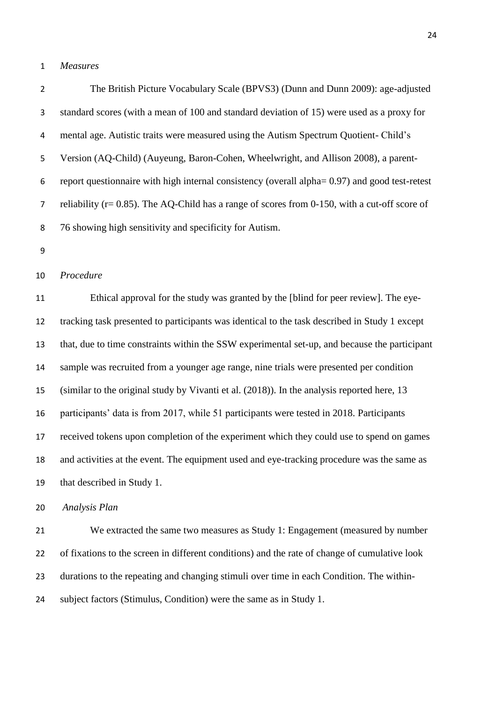#### *Measures*

| $\overline{2}$ | The British Picture Vocabulary Scale (BPVS3) (Dunn and Dunn 2009): age-adjusted                    |
|----------------|----------------------------------------------------------------------------------------------------|
| 3              | standard scores (with a mean of 100 and standard deviation of 15) were used as a proxy for         |
| 4              | mental age. Autistic traits were measured using the Autism Spectrum Quotient- Child's              |
| 5.             | Version (AQ-Child) (Auyeung, Baron-Cohen, Wheelwright, and Allison 2008), a parent-                |
| 6              | report questionnaire with high internal consistency (overall alpha= 0.97) and good test-retest     |
| $\overline{7}$ | reliability ( $r = 0.85$ ). The AQ-Child has a range of scores from 0-150, with a cut-off score of |
| 8              | 76 showing high sensitivity and specificity for Autism.                                            |

# *Procedure*

 Ethical approval for the study was granted by the [blind for peer review]. The eye- tracking task presented to participants was identical to the task described in Study 1 except that, due to time constraints within the SSW experimental set-up, and because the participant sample was recruited from a younger age range, nine trials were presented per condition (similar to the original study by Vivanti et al. (2018)). In the analysis reported here, 13 participants' data is from 2017, while 51 participants were tested in 2018. Participants received tokens upon completion of the experiment which they could use to spend on games and activities at the event. The equipment used and eye-tracking procedure was the same as that described in Study 1.

*Analysis Plan*

 We extracted the same two measures as Study 1: Engagement (measured by number of fixations to the screen in different conditions) and the rate of change of cumulative look durations to the repeating and changing stimuli over time in each Condition. The within-subject factors (Stimulus, Condition) were the same as in Study 1.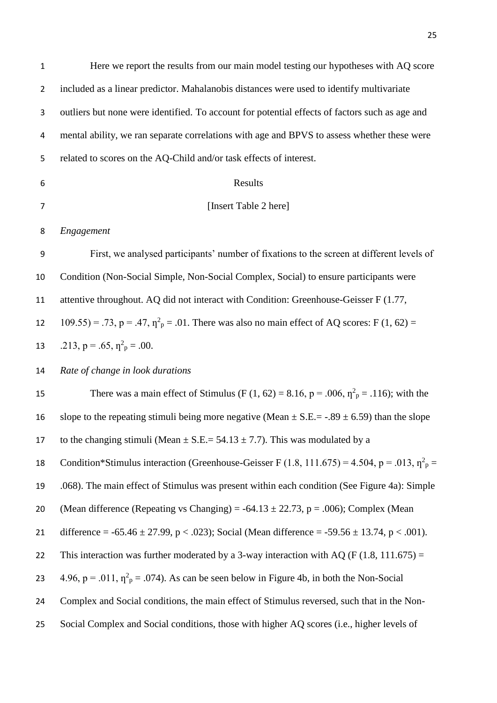| $\mathbf{1}$   | Here we report the results from our main model testing our hypotheses with AQ score                            |
|----------------|----------------------------------------------------------------------------------------------------------------|
| $\overline{2}$ | included as a linear predictor. Mahalanobis distances were used to identify multivariate                       |
| 3              | outliers but none were identified. To account for potential effects of factors such as age and                 |
| 4              | mental ability, we ran separate correlations with age and BPVS to assess whether these were                    |
| 5              | related to scores on the AQ-Child and/or task effects of interest.                                             |
| 6              | Results                                                                                                        |
| $\overline{7}$ | [Insert Table 2 here]                                                                                          |
| 8              | Engagement                                                                                                     |
| 9              | First, we analysed participants' number of fixations to the screen at different levels of                      |
| 10             | Condition (Non-Social Simple, Non-Social Complex, Social) to ensure participants were                          |
| 11             | attentive throughout. AQ did not interact with Condition: Greenhouse-Geisser F (1.77,                          |
| 12             | 109.55) = .73, p = .47, $\eta^2$ <sub>p</sub> = .01. There was also no main effect of AQ scores: F (1, 62) =   |
| 13             | .213, $p = .65$ , $\eta^2$ <sub>p</sub> = .00.                                                                 |
| 14             | Rate of change in look durations                                                                               |
| 15             | There was a main effect of Stimulus (F (1, 62) = 8.16, p = .006, $\eta^2$ <sub>p</sub> = .116); with the       |
| 16             | slope to the repeating stimuli being more negative (Mean $\pm$ S.E.= -.89 $\pm$ 6.59) than the slope           |
| 17             | to the changing stimuli (Mean $\pm$ S.E. = 54.13 $\pm$ 7.7). This was modulated by a                           |
| 18             | Condition*Stimulus interaction (Greenhouse-Geisser F (1.8, 111.675) = 4.504, p = .013, $\eta^2$ <sub>p</sub> = |
| 19             | .068). The main effect of Stimulus was present within each condition (See Figure 4a): Simple                   |
| 20             | (Mean difference (Repeating vs Changing) = $-64.13 \pm 22.73$ , p = .006); Complex (Mean                       |
| 21             | difference = $-65.46 \pm 27.99$ , p < .023); Social (Mean difference = $-59.56 \pm 13.74$ , p < .001).         |
| 22             | This interaction was further moderated by a 3-way interaction with AQ (F $(1.8, 111.675)$ =                    |
| 23             | 4.96, $p = .011$ , $\eta^2$ <sub>p</sub> = .074). As can be seen below in Figure 4b, in both the Non-Social    |
| 24             | Complex and Social conditions, the main effect of Stimulus reversed, such that in the Non-                     |
| 25             | Social Complex and Social conditions, those with higher AQ scores (i.e., higher levels of                      |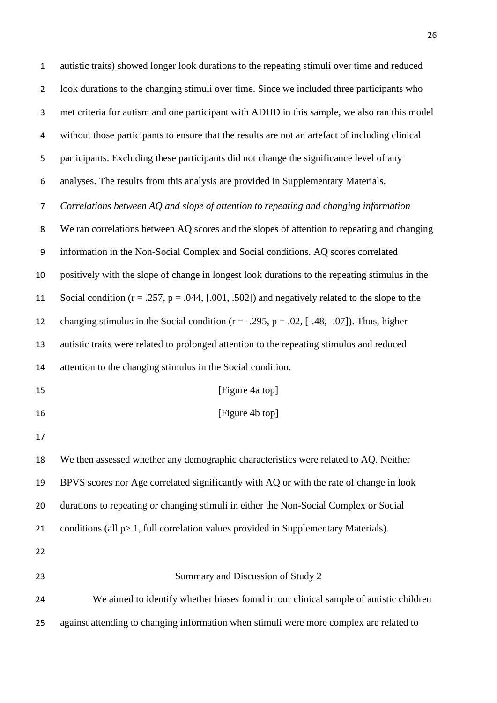| $\mathbf 1$    | autistic traits) showed longer look durations to the repeating stimuli over time and reduced          |
|----------------|-------------------------------------------------------------------------------------------------------|
| $\overline{2}$ | look durations to the changing stimuli over time. Since we included three participants who            |
| 3              | met criteria for autism and one participant with ADHD in this sample, we also ran this model          |
| 4              | without those participants to ensure that the results are not an artefact of including clinical       |
| 5              | participants. Excluding these participants did not change the significance level of any               |
| 6              | analyses. The results from this analysis are provided in Supplementary Materials.                     |
| $\overline{7}$ | Correlations between $AQ$ and slope of attention to repeating and changing information                |
| 8              | We ran correlations between AQ scores and the slopes of attention to repeating and changing           |
| 9              | information in the Non-Social Complex and Social conditions. AQ scores correlated                     |
| 10             | positively with the slope of change in longest look durations to the repeating stimulus in the        |
| 11             | Social condition ( $r = .257$ , $p = .044$ , [.001, .502]) and negatively related to the slope to the |
| 12             | changing stimulus in the Social condition $(r = -.295, p = .02, [-.48, -.07])$ . Thus, higher         |
| 13             | autistic traits were related to prolonged attention to the repeating stimulus and reduced             |
| 14             | attention to the changing stimulus in the Social condition.                                           |
| 15             | [Figure 4a top]                                                                                       |
| 16             | [Figure 4b top]                                                                                       |
| 17             |                                                                                                       |
| 18             | We then assessed whether any demographic characteristics were related to AQ. Neither                  |
| 19             | BPVS scores nor Age correlated significantly with AQ or with the rate of change in look               |
| 20             | durations to repeating or changing stimuli in either the Non-Social Complex or Social                 |
| 21             | conditions (all p>.1, full correlation values provided in Supplementary Materials).                   |
| 22             |                                                                                                       |
| 23             | Summary and Discussion of Study 2                                                                     |
| 24             | We aimed to identify whether biases found in our clinical sample of autistic children                 |
| 25             | against attending to changing information when stimuli were more complex are related to               |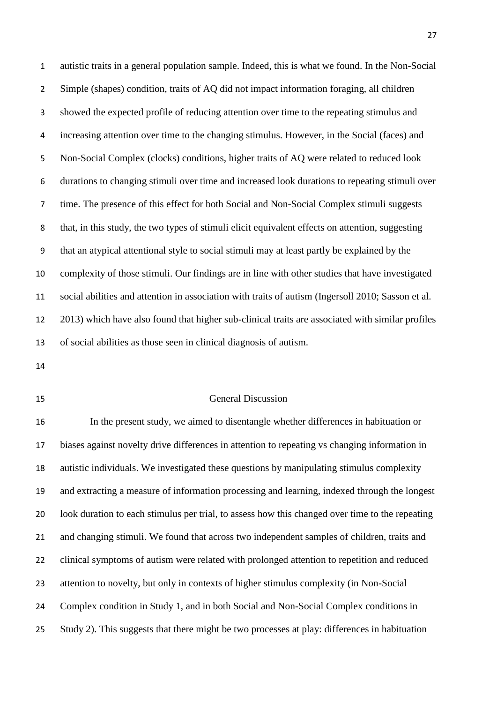autistic traits in a general population sample. Indeed, this is what we found. In the Non-Social Simple (shapes) condition, traits of AQ did not impact information foraging, all children showed the expected profile of reducing attention over time to the repeating stimulus and increasing attention over time to the changing stimulus. However, in the Social (faces) and Non-Social Complex (clocks) conditions, higher traits of AQ were related to reduced look durations to changing stimuli over time and increased look durations to repeating stimuli over time. The presence of this effect for both Social and Non-Social Complex stimuli suggests that, in this study, the two types of stimuli elicit equivalent effects on attention, suggesting that an atypical attentional style to social stimuli may at least partly be explained by the complexity of those stimuli. Our findings are in line with other studies that have investigated social abilities and attention in association with traits of autism (Ingersoll 2010; Sasson et al. 2013) which have also found that higher sub-clinical traits are associated with similar profiles of social abilities as those seen in clinical diagnosis of autism.

## General Discussion

 In the present study, we aimed to disentangle whether differences in habituation or biases against novelty drive differences in attention to repeating vs changing information in autistic individuals. We investigated these questions by manipulating stimulus complexity and extracting a measure of information processing and learning, indexed through the longest look duration to each stimulus per trial, to assess how this changed over time to the repeating and changing stimuli. We found that across two independent samples of children, traits and clinical symptoms of autism were related with prolonged attention to repetition and reduced attention to novelty, but only in contexts of higher stimulus complexity (in Non-Social Complex condition in Study 1, and in both Social and Non-Social Complex conditions in Study 2). This suggests that there might be two processes at play: differences in habituation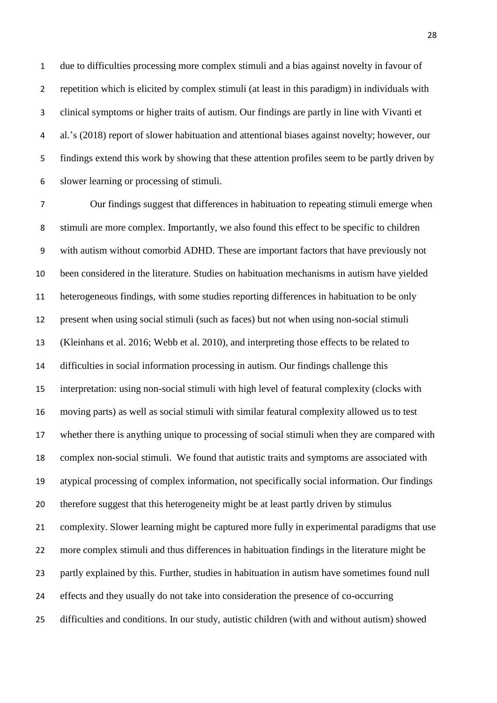due to difficulties processing more complex stimuli and a bias against novelty in favour of repetition which is elicited by complex stimuli (at least in this paradigm) in individuals with clinical symptoms or higher traits of autism. Our findings are partly in line with Vivanti et al.'s (2018) report of slower habituation and attentional biases against novelty; however, our findings extend this work by showing that these attention profiles seem to be partly driven by slower learning or processing of stimuli.

 Our findings suggest that differences in habituation to repeating stimuli emerge when stimuli are more complex. Importantly, we also found this effect to be specific to children with autism without comorbid ADHD. These are important factors that have previously not been considered in the literature. Studies on habituation mechanisms in autism have yielded heterogeneous findings, with some studies reporting differences in habituation to be only present when using social stimuli (such as faces) but not when using non-social stimuli (Kleinhans et al. 2016; Webb et al. 2010), and interpreting those effects to be related to difficulties in social information processing in autism. Our findings challenge this interpretation: using non-social stimuli with high level of featural complexity (clocks with moving parts) as well as social stimuli with similar featural complexity allowed us to test whether there is anything unique to processing of social stimuli when they are compared with complex non-social stimuli. We found that autistic traits and symptoms are associated with atypical processing of complex information, not specifically social information. Our findings therefore suggest that this heterogeneity might be at least partly driven by stimulus complexity. Slower learning might be captured more fully in experimental paradigms that use more complex stimuli and thus differences in habituation findings in the literature might be partly explained by this. Further, studies in habituation in autism have sometimes found null effects and they usually do not take into consideration the presence of co-occurring difficulties and conditions. In our study, autistic children (with and without autism) showed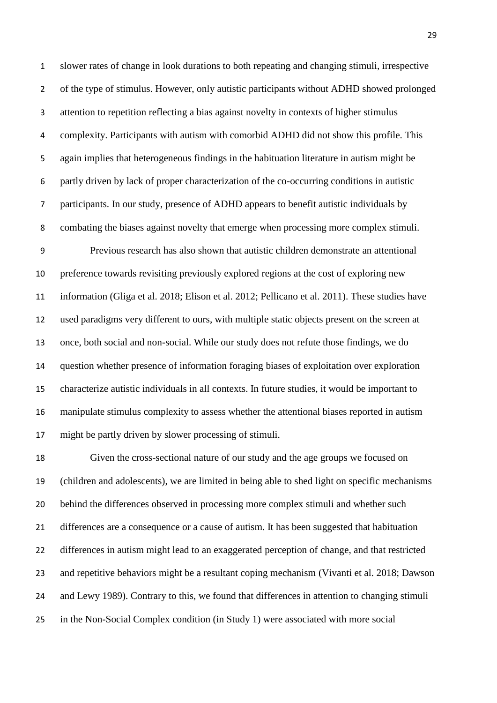slower rates of change in look durations to both repeating and changing stimuli, irrespective of the type of stimulus. However, only autistic participants without ADHD showed prolonged attention to repetition reflecting a bias against novelty in contexts of higher stimulus complexity. Participants with autism with comorbid ADHD did not show this profile. This again implies that heterogeneous findings in the habituation literature in autism might be partly driven by lack of proper characterization of the co-occurring conditions in autistic participants. In our study, presence of ADHD appears to benefit autistic individuals by combating the biases against novelty that emerge when processing more complex stimuli. Previous research has also shown that autistic children demonstrate an attentional preference towards revisiting previously explored regions at the cost of exploring new information (Gliga et al. 2018; Elison et al. 2012; Pellicano et al. 2011). These studies have used paradigms very different to ours, with multiple static objects present on the screen at once, both social and non-social. While our study does not refute those findings, we do

 question whether presence of information foraging biases of exploitation over exploration characterize autistic individuals in all contexts. In future studies, it would be important to manipulate stimulus complexity to assess whether the attentional biases reported in autism might be partly driven by slower processing of stimuli.

 Given the cross-sectional nature of our study and the age groups we focused on (children and adolescents), we are limited in being able to shed light on specific mechanisms behind the differences observed in processing more complex stimuli and whether such differences are a consequence or a cause of autism. It has been suggested that habituation differences in autism might lead to an exaggerated perception of change, and that restricted and repetitive behaviors might be a resultant coping mechanism (Vivanti et al. 2018; Dawson and Lewy 1989). Contrary to this, we found that differences in attention to changing stimuli in the Non-Social Complex condition (in Study 1) were associated with more social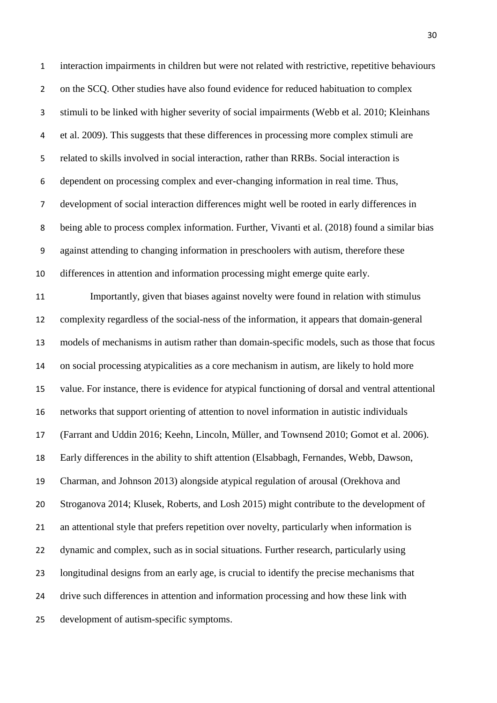interaction impairments in children but were not related with restrictive, repetitive behaviours 2 on the SCO. Other studies have also found evidence for reduced habituation to complex stimuli to be linked with higher severity of social impairments (Webb et al. 2010; Kleinhans et al. 2009). This suggests that these differences in processing more complex stimuli are related to skills involved in social interaction, rather than RRBs. Social interaction is dependent on processing complex and ever-changing information in real time. Thus, development of social interaction differences might well be rooted in early differences in being able to process complex information. Further, Vivanti et al. (2018) found a similar bias against attending to changing information in preschoolers with autism, therefore these differences in attention and information processing might emerge quite early. Importantly, given that biases against novelty were found in relation with stimulus complexity regardless of the social-ness of the information, it appears that domain-general models of mechanisms in autism rather than domain-specific models, such as those that focus on social processing atypicalities as a core mechanism in autism, are likely to hold more value. For instance, there is evidence for atypical functioning of dorsal and ventral attentional networks that support orienting of attention to novel information in autistic individuals (Farrant and Uddin 2016; Keehn, Lincoln, Müller, and Townsend 2010; Gomot et al. 2006). Early differences in the ability to shift attention (Elsabbagh, Fernandes, Webb, Dawson, Charman, and Johnson 2013) alongside atypical regulation of arousal (Orekhova and Stroganova 2014; Klusek, Roberts, and Losh 2015) might contribute to the development of an attentional style that prefers repetition over novelty, particularly when information is dynamic and complex, such as in social situations. Further research, particularly using longitudinal designs from an early age, is crucial to identify the precise mechanisms that drive such differences in attention and information processing and how these link with development of autism-specific symptoms.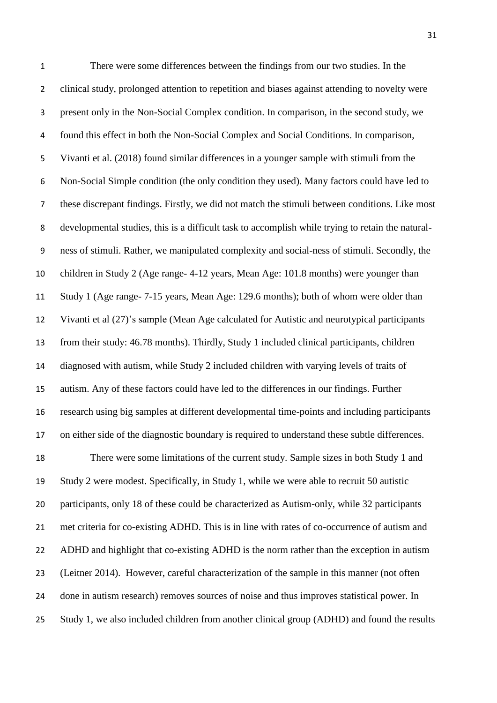There were some differences between the findings from our two studies. In the clinical study, prolonged attention to repetition and biases against attending to novelty were present only in the Non-Social Complex condition. In comparison, in the second study, we found this effect in both the Non-Social Complex and Social Conditions. In comparison, Vivanti et al. (2018) found similar differences in a younger sample with stimuli from the Non-Social Simple condition (the only condition they used). Many factors could have led to these discrepant findings. Firstly, we did not match the stimuli between conditions. Like most developmental studies, this is a difficult task to accomplish while trying to retain the natural- ness of stimuli. Rather, we manipulated complexity and social-ness of stimuli. Secondly, the children in Study 2 (Age range- 4-12 years, Mean Age: 101.8 months) were younger than Study 1 (Age range- 7-15 years, Mean Age: 129.6 months); both of whom were older than Vivanti et al (27)'s sample (Mean Age calculated for Autistic and neurotypical participants from their study: 46.78 months). Thirdly, Study 1 included clinical participants, children diagnosed with autism, while Study 2 included children with varying levels of traits of autism. Any of these factors could have led to the differences in our findings. Further research using big samples at different developmental time-points and including participants on either side of the diagnostic boundary is required to understand these subtle differences. There were some limitations of the current study. Sample sizes in both Study 1 and Study 2 were modest. Specifically, in Study 1, while we were able to recruit 50 autistic participants, only 18 of these could be characterized as Autism-only, while 32 participants met criteria for co-existing ADHD. This is in line with rates of co-occurrence of autism and 22 ADHD and highlight that co-existing ADHD is the norm rather than the exception in autism (Leitner 2014). However, careful characterization of the sample in this manner (not often done in autism research) removes sources of noise and thus improves statistical power. In 25 Study 1, we also included children from another clinical group (ADHD) and found the results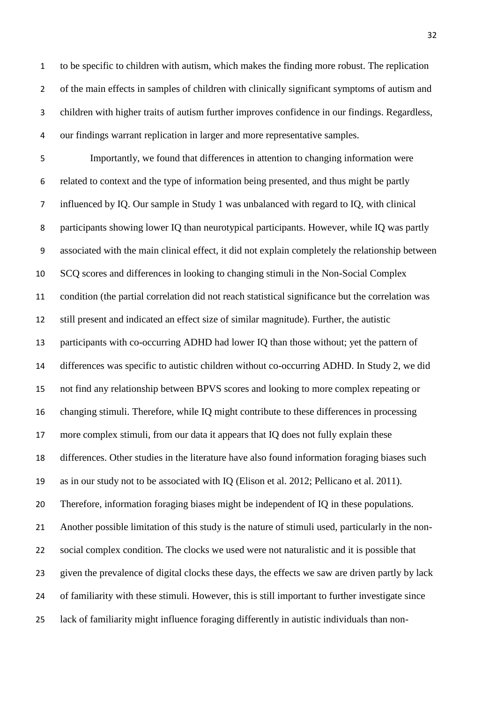to be specific to children with autism, which makes the finding more robust. The replication of the main effects in samples of children with clinically significant symptoms of autism and children with higher traits of autism further improves confidence in our findings. Regardless, our findings warrant replication in larger and more representative samples.

 Importantly, we found that differences in attention to changing information were related to context and the type of information being presented, and thus might be partly influenced by IQ. Our sample in Study 1 was unbalanced with regard to IQ, with clinical participants showing lower IQ than neurotypical participants. However, while IQ was partly associated with the main clinical effect, it did not explain completely the relationship between SCQ scores and differences in looking to changing stimuli in the Non-Social Complex condition (the partial correlation did not reach statistical significance but the correlation was still present and indicated an effect size of similar magnitude). Further, the autistic participants with co-occurring ADHD had lower IQ than those without; yet the pattern of differences was specific to autistic children without co-occurring ADHD. In Study 2, we did not find any relationship between BPVS scores and looking to more complex repeating or changing stimuli. Therefore, while IQ might contribute to these differences in processing more complex stimuli, from our data it appears that IQ does not fully explain these differences. Other studies in the literature have also found information foraging biases such as in our study not to be associated with IQ (Elison et al. 2012; Pellicano et al. 2011). Therefore, information foraging biases might be independent of IQ in these populations. Another possible limitation of this study is the nature of stimuli used, particularly in the non- social complex condition. The clocks we used were not naturalistic and it is possible that given the prevalence of digital clocks these days, the effects we saw are driven partly by lack of familiarity with these stimuli. However, this is still important to further investigate since lack of familiarity might influence foraging differently in autistic individuals than non-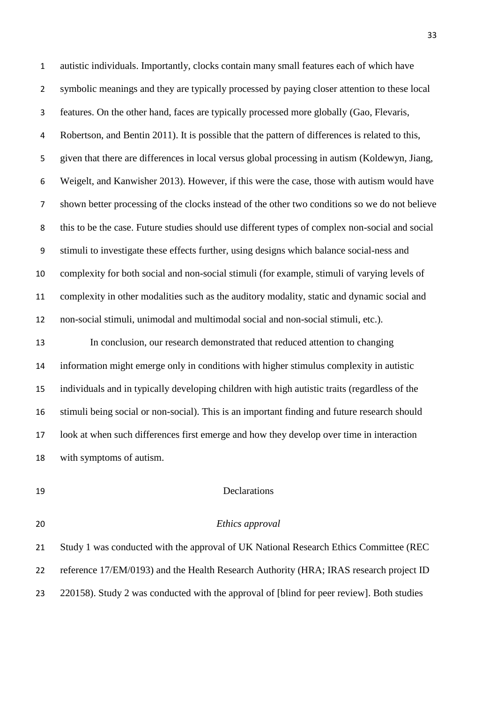autistic individuals. Importantly, clocks contain many small features each of which have symbolic meanings and they are typically processed by paying closer attention to these local features. On the other hand, faces are typically processed more globally (Gao, Flevaris, Robertson, and Bentin 2011). It is possible that the pattern of differences is related to this, given that there are differences in local versus global processing in autism (Koldewyn, Jiang, Weigelt, and Kanwisher 2013). However, if this were the case, those with autism would have shown better processing of the clocks instead of the other two conditions so we do not believe this to be the case. Future studies should use different types of complex non-social and social stimuli to investigate these effects further, using designs which balance social-ness and complexity for both social and non-social stimuli (for example, stimuli of varying levels of complexity in other modalities such as the auditory modality, static and dynamic social and non-social stimuli, unimodal and multimodal social and non-social stimuli, etc.). In conclusion, our research demonstrated that reduced attention to changing information might emerge only in conditions with higher stimulus complexity in autistic individuals and in typically developing children with high autistic traits (regardless of the

 stimuli being social or non-social). This is an important finding and future research should look at when such differences first emerge and how they develop over time in interaction with symptoms of autism.

## 19 Declarations

#### *Ethics approval*

 Study 1 was conducted with the approval of UK National Research Ethics Committee (REC reference 17/EM/0193) and the Health Research Authority (HRA; IRAS research project ID 220158). Study 2 was conducted with the approval of [blind for peer review]. Both studies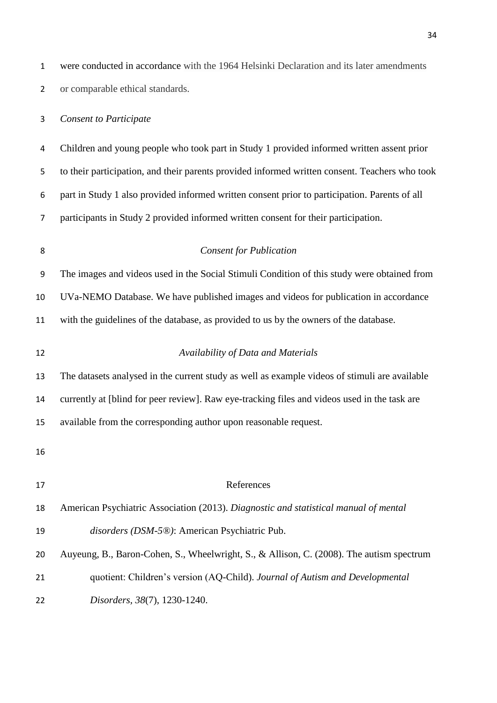| $\overline{2}$ | or comparable ethical standards.                                                               |
|----------------|------------------------------------------------------------------------------------------------|
| 3              | <b>Consent to Participate</b>                                                                  |
| 4              | Children and young people who took part in Study 1 provided informed written assent prior      |
| 5              | to their participation, and their parents provided informed written consent. Teachers who took |
| 6              | part in Study 1 also provided informed written consent prior to participation. Parents of all  |
| $\overline{7}$ | participants in Study 2 provided informed written consent for their participation.             |
| 8              | <b>Consent for Publication</b>                                                                 |
| 9              | The images and videos used in the Social Stimuli Condition of this study were obtained from    |
| 10             | UVa-NEMO Database. We have published images and videos for publication in accordance           |
| 11             | with the guidelines of the database, as provided to us by the owners of the database.          |
| 12             | Availability of Data and Materials                                                             |
| 13             | The datasets analysed in the current study as well as example videos of stimuli are available  |
| 14             | currently at [blind for peer review]. Raw eye-tracking files and videos used in the task are   |
| 15             | available from the corresponding author upon reasonable request.                               |
| 16             |                                                                                                |
| 17             | References                                                                                     |
| 18             | American Psychiatric Association (2013). Diagnostic and statistical manual of mental           |
| 19             | disorders (DSM-5 <sup>®</sup> ): American Psychiatric Pub.                                     |
| 20             | Auyeung, B., Baron-Cohen, S., Wheelwright, S., & Allison, C. (2008). The autism spectrum       |
| 21             | quotient: Children's version (AQ-Child). Journal of Autism and Developmental                   |
| 22             | Disorders, 38(7), 1230-1240.                                                                   |

were conducted in accordance with the 1964 Helsinki Declaration and its later amendments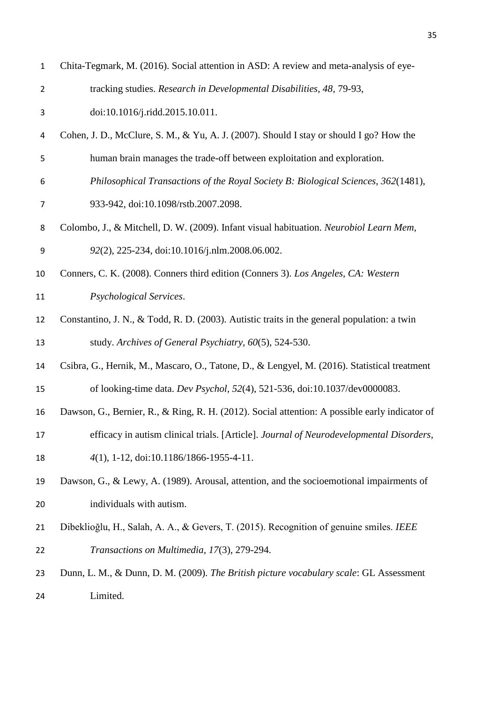| $\mathbf 1$    | Chita-Tegmark, M. (2016). Social attention in ASD: A review and meta-analysis of eye-          |  |  |  |  |  |  |
|----------------|------------------------------------------------------------------------------------------------|--|--|--|--|--|--|
| $\overline{2}$ | tracking studies. Research in Developmental Disabilities, 48, 79-93,                           |  |  |  |  |  |  |
| 3              | doi:10.1016/j.ridd.2015.10.011.                                                                |  |  |  |  |  |  |
| 4              | Cohen, J. D., McClure, S. M., & Yu, A. J. (2007). Should I stay or should I go? How the        |  |  |  |  |  |  |
| 5              | human brain manages the trade-off between exploitation and exploration.                        |  |  |  |  |  |  |
| 6              | Philosophical Transactions of the Royal Society B: Biological Sciences, 362(1481),             |  |  |  |  |  |  |
| $\overline{7}$ | 933-942, doi:10.1098/rstb.2007.2098.                                                           |  |  |  |  |  |  |
| 8              | Colombo, J., & Mitchell, D. W. (2009). Infant visual habituation. Neurobiol Learn Mem,         |  |  |  |  |  |  |
| 9              | 92(2), 225-234, doi:10.1016/j.nlm.2008.06.002.                                                 |  |  |  |  |  |  |
| 10             | Conners, C. K. (2008). Conners third edition (Conners 3). Los Angeles, CA: Western             |  |  |  |  |  |  |
| 11             | Psychological Services.                                                                        |  |  |  |  |  |  |
| 12             | Constantino, J. N., & Todd, R. D. (2003). Autistic traits in the general population: a twin    |  |  |  |  |  |  |
| 13             | study. Archives of General Psychiatry, 60(5), 524-530.                                         |  |  |  |  |  |  |
| 14             | Csibra, G., Hernik, M., Mascaro, O., Tatone, D., & Lengyel, M. (2016). Statistical treatment   |  |  |  |  |  |  |
| 15             | of looking-time data. Dev Psychol, 52(4), 521-536, doi:10.1037/dev0000083.                     |  |  |  |  |  |  |
| 16             | Dawson, G., Bernier, R., & Ring, R. H. (2012). Social attention: A possible early indicator of |  |  |  |  |  |  |
| 17             | efficacy in autism clinical trials. [Article]. Journal of Neurodevelopmental Disorders,        |  |  |  |  |  |  |
| 18             | 4(1), 1-12, doi:10.1186/1866-1955-4-11.                                                        |  |  |  |  |  |  |
| 19             | Dawson, G., & Lewy, A. (1989). Arousal, attention, and the socioemotional impairments of       |  |  |  |  |  |  |
| 20             | individuals with autism.                                                                       |  |  |  |  |  |  |
| 21             | Dibeklioğlu, H., Salah, A. A., & Gevers, T. (2015). Recognition of genuine smiles. IEEE        |  |  |  |  |  |  |
| 22             | Transactions on Multimedia, 17(3), 279-294.                                                    |  |  |  |  |  |  |
| 23             | Dunn, L. M., & Dunn, D. M. (2009). The British picture vocabulary scale: GL Assessment         |  |  |  |  |  |  |
| 24             | Limited.                                                                                       |  |  |  |  |  |  |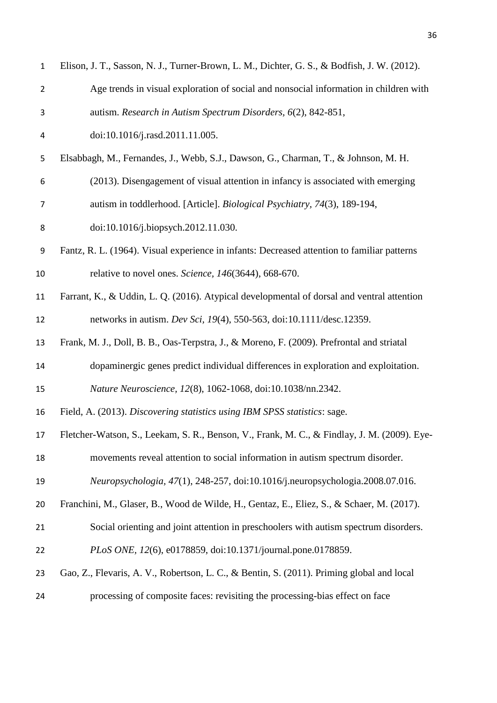| $\mathbf{1}$   | Elison, J. T., Sasson, N. J., Turner-Brown, L. M., Dichter, G. S., & Bodfish, J. W. (2012). |
|----------------|---------------------------------------------------------------------------------------------|
| $\overline{2}$ | Age trends in visual exploration of social and nonsocial information in children with       |
| 3              | autism. Research in Autism Spectrum Disorders, 6(2), 842-851,                               |
| 4              | doi:10.1016/j.rasd.2011.11.005.                                                             |
| 5              | Elsabbagh, M., Fernandes, J., Webb, S.J., Dawson, G., Charman, T., & Johnson, M. H.         |
| 6              | (2013). Disengagement of visual attention in infancy is associated with emerging            |
| $\overline{7}$ | autism in toddlerhood. [Article]. Biological Psychiatry, 74(3), 189-194,                    |
| 8              | doi:10.1016/j.biopsych.2012.11.030.                                                         |
| 9              | Fantz, R. L. (1964). Visual experience in infants: Decreased attention to familiar patterns |
| 10             | relative to novel ones. Science, 146(3644), 668-670.                                        |
| 11             | Farrant, K., & Uddin, L. Q. (2016). Atypical developmental of dorsal and ventral attention  |
| 12             | networks in autism. Dev Sci, 19(4), 550-563, doi:10.1111/desc.12359.                        |
| 13             | Frank, M. J., Doll, B. B., Oas-Terpstra, J., & Moreno, F. (2009). Prefrontal and striatal   |
| 14             | dopaminergic genes predict individual differences in exploration and exploitation.          |
| 15             | Nature Neuroscience, 12(8), 1062-1068, doi:10.1038/nn.2342.                                 |
| 16             | Field, A. (2013). Discovering statistics using IBM SPSS statistics: sage.                   |
| 17             | Fletcher-Watson, S., Leekam, S. R., Benson, V., Frank, M. C., & Findlay, J. M. (2009). Eye- |
| 18             | movements reveal attention to social information in autism spectrum disorder.               |
| 19             | Neuropsychologia, 47(1), 248-257, doi:10.1016/j.neuropsychologia.2008.07.016.               |
| 20             | Franchini, M., Glaser, B., Wood de Wilde, H., Gentaz, E., Eliez, S., & Schaer, M. (2017).   |
| 21             | Social orienting and joint attention in preschoolers with autism spectrum disorders.        |
| 22             | PLoS ONE, 12(6), e0178859, doi:10.1371/journal.pone.0178859.                                |
| 23             | Gao, Z., Flevaris, A. V., Robertson, L. C., & Bentin, S. (2011). Priming global and local   |
| 24             | processing of composite faces: revisiting the processing-bias effect on face                |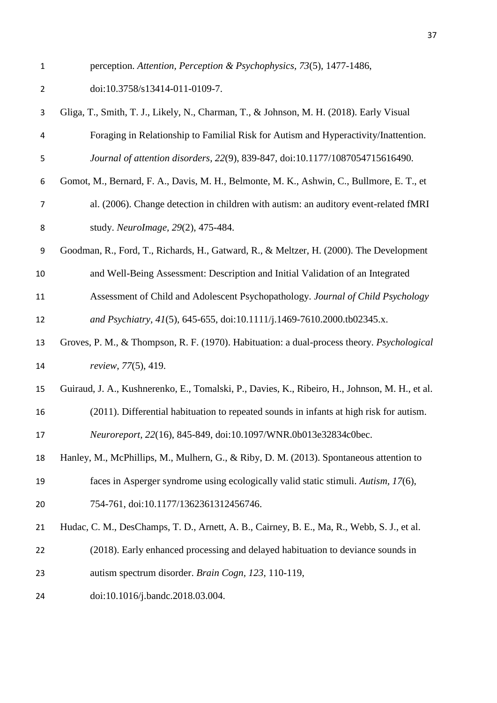perception. *Attention, Perception & Psychophysics, 73*(5), 1477-1486,

- doi:10.3758/s13414-011-0109-7.
- Gliga, T., Smith, T. J., Likely, N., Charman, T., & Johnson, M. H. (2018). Early Visual Foraging in Relationship to Familial Risk for Autism and Hyperactivity/Inattention. *Journal of attention disorders, 22*(9), 839-847, doi:10.1177/1087054715616490.
- Gomot, M., Bernard, F. A., Davis, M. H., Belmonte, M. K., Ashwin, C., Bullmore, E. T., et
- al. (2006). Change detection in children with autism: an auditory event-related fMRI study. *NeuroImage, 29*(2), 475-484.
- Goodman, R., Ford, T., Richards, H., Gatward, R., & Meltzer, H. (2000). The Development
- and Well-Being Assessment: Description and Initial Validation of an Integrated
- Assessment of Child and Adolescent Psychopathology. *Journal of Child Psychology and Psychiatry, 41*(5), 645-655, doi:10.1111/j.1469-7610.2000.tb02345.x.
- Groves, P. M., & Thompson, R. F. (1970). Habituation: a dual-process theory. *Psychological review, 77*(5), 419.
- Guiraud, J. A., Kushnerenko, E., Tomalski, P., Davies, K., Ribeiro, H., Johnson, M. H., et al. (2011). Differential habituation to repeated sounds in infants at high risk for autism. *Neuroreport, 22*(16), 845-849, doi:10.1097/WNR.0b013e32834c0bec.
- Hanley, M., McPhillips, M., Mulhern, G., & Riby, D. M. (2013). Spontaneous attention to faces in Asperger syndrome using ecologically valid static stimuli. *Autism, 17*(6), 754-761, doi:10.1177/1362361312456746.
- Hudac, C. M., DesChamps, T. D., Arnett, A. B., Cairney, B. E., Ma, R., Webb, S. J., et al.
- (2018). Early enhanced processing and delayed habituation to deviance sounds in autism spectrum disorder. *Brain Cogn, 123*, 110-119,
- doi:10.1016/j.bandc.2018.03.004.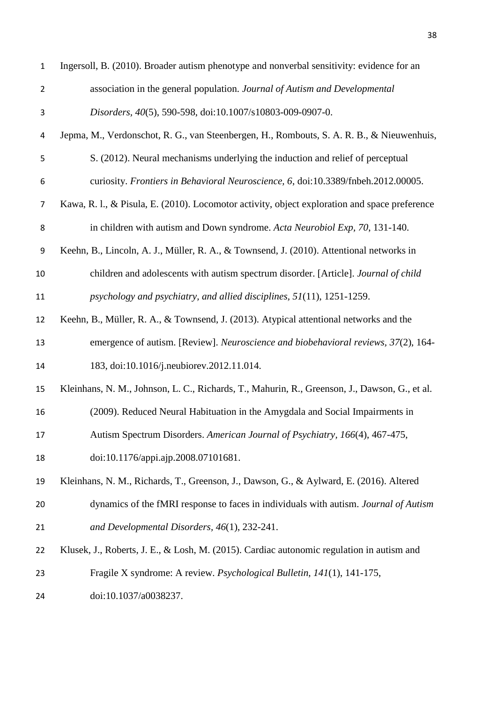| $\mathbf{1}$   | Ingersoll, B. (2010). Broader autism phenotype and nonverbal sensitivity: evidence for an     |
|----------------|-----------------------------------------------------------------------------------------------|
| $\overline{2}$ | association in the general population. Journal of Autism and Developmental                    |
| 3              | Disorders, 40(5), 590-598, doi:10.1007/s10803-009-0907-0.                                     |
| 4              | Jepma, M., Verdonschot, R. G., van Steenbergen, H., Rombouts, S. A. R. B., & Nieuwenhuis,     |
| 5              | S. (2012). Neural mechanisms underlying the induction and relief of perceptual                |
| 6              | curiosity. Frontiers in Behavioral Neuroscience, 6, doi:10.3389/fnbeh.2012.00005.             |
| $\overline{7}$ | Kawa, R. l., & Pisula, E. (2010). Locomotor activity, object exploration and space preference |
| 8              | in children with autism and Down syndrome. Acta Neurobiol Exp. 70, 131-140.                   |
| 9              | Keehn, B., Lincoln, A. J., Müller, R. A., & Townsend, J. (2010). Attentional networks in      |
| 10             | children and adolescents with autism spectrum disorder. [Article]. Journal of child           |
| 11             | psychology and psychiatry, and allied disciplines, 51(11), 1251-1259.                         |
| 12             | Keehn, B., Müller, R. A., & Townsend, J. (2013). Atypical attentional networks and the        |
| 13             | emergence of autism. [Review]. Neuroscience and biobehavioral reviews, 37(2), 164-            |
| 14             | 183, doi:10.1016/j.neubiorev.2012.11.014.                                                     |
| 15             | Kleinhans, N. M., Johnson, L. C., Richards, T., Mahurin, R., Greenson, J., Dawson, G., et al. |
| 16             | (2009). Reduced Neural Habituation in the Amygdala and Social Impairments in                  |
| 17             | Autism Spectrum Disorders. American Journal of Psychiatry, 166(4), 467-475,                   |
| 18             | doi:10.1176/appi.ajp.2008.07101681.                                                           |
| 19             | Kleinhans, N. M., Richards, T., Greenson, J., Dawson, G., & Aylward, E. (2016). Altered       |
| 20             | dynamics of the fMRI response to faces in individuals with autism. Journal of Autism          |
| 21             | and Developmental Disorders, 46(1), 232-241.                                                  |
| 22             | Klusek, J., Roberts, J. E., & Losh, M. (2015). Cardiac autonomic regulation in autism and     |
| 23             | Fragile X syndrome: A review. Psychological Bulletin, 141(1), 141-175,                        |
| 24             | doi:10.1037/a0038237.                                                                         |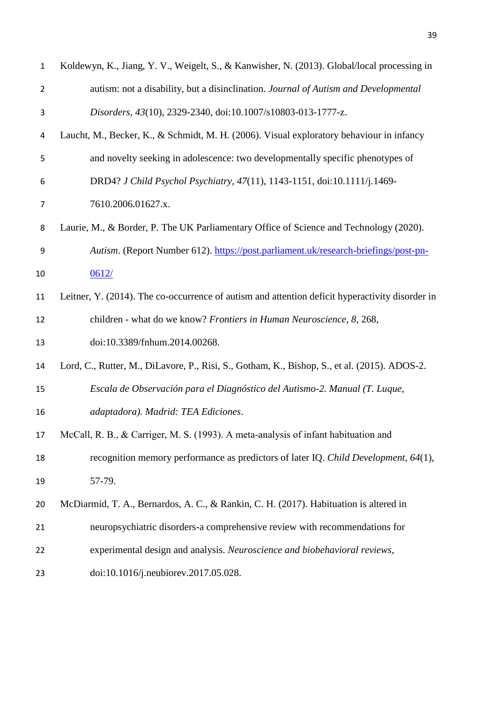| $\mathbf{1}$   | Koldewyn, K., Jiang, Y. V., Weigelt, S., & Kanwisher, N. (2013). Global/local processing in     |
|----------------|-------------------------------------------------------------------------------------------------|
| $\overline{2}$ | autism: not a disability, but a disinclination. Journal of Autism and Developmental             |
| 3              | Disorders, 43(10), 2329-2340, doi:10.1007/s10803-013-1777-z.                                    |
| 4              | Laucht, M., Becker, K., & Schmidt, M. H. (2006). Visual exploratory behaviour in infancy        |
| 5              | and novelty seeking in adolescence: two developmentally specific phenotypes of                  |
| 6              | DRD4? J Child Psychol Psychiatry, 47(11), 1143-1151, doi:10.1111/j.1469-                        |
| $\overline{7}$ | 7610.2006.01627.x.                                                                              |
| 8              | Laurie, M., & Border, P. The UK Parliamentary Office of Science and Technology (2020).          |
| 9              | Autism. (Report Number 612). https://post.parliament.uk/research-briefings/post-pn-             |
| 10             | 0612/                                                                                           |
| 11             | Leitner, Y. (2014). The co-occurrence of autism and attention deficit hyperactivity disorder in |
| 12             | children - what do we know? Frontiers in Human Neuroscience, 8, 268,                            |
| 13             | doi:10.3389/fnhum.2014.00268.                                                                   |
| 14             | Lord, C., Rutter, M., DiLavore, P., Risi, S., Gotham, K., Bishop, S., et al. (2015). ADOS-2.    |
| 15             | Escala de Observación para el Diagnóstico del Autismo-2. Manual (T. Luque,                      |
| 16             | adaptadora). Madrid: TEA Ediciones.                                                             |
| 17             | McCall, R. B., & Carriger, M. S. (1993). A meta-analysis of infant habituation and              |
| 18             | recognition memory performance as predictors of later IQ. Child Development, 64(1),             |
| 19             | 57-79.                                                                                          |
| 20             | McDiarmid, T. A., Bernardos, A. C., & Rankin, C. H. (2017). Habituation is altered in           |
| 21             | neuropsychiatric disorders-a comprehensive review with recommendations for                      |
| 22             | experimental design and analysis. Neuroscience and biobehavioral reviews,                       |
| 23             | doi:10.1016/j.neubiorev.2017.05.028.                                                            |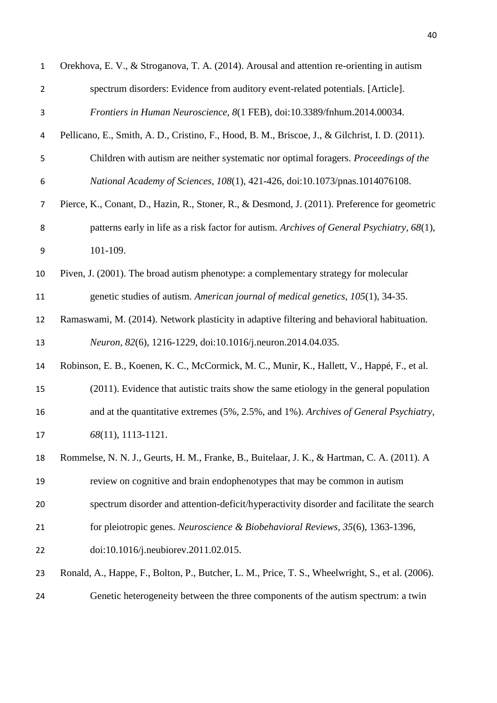| $\mathbf{1}$   | Orekhova, E. V., & Stroganova, T. A. (2014). Arousal and attention re-orienting in autism        |
|----------------|--------------------------------------------------------------------------------------------------|
| $\overline{2}$ | spectrum disorders: Evidence from auditory event-related potentials. [Article].                  |
| 3              | Frontiers in Human Neuroscience, 8(1 FEB), doi:10.3389/fnhum.2014.00034.                         |
| 4              | Pellicano, E., Smith, A. D., Cristino, F., Hood, B. M., Briscoe, J., & Gilchrist, I. D. (2011).  |
| 5              | Children with autism are neither systematic nor optimal foragers. Proceedings of the             |
| 6              | National Academy of Sciences, 108(1), 421-426, doi:10.1073/pnas.1014076108.                      |
| $\overline{7}$ | Pierce, K., Conant, D., Hazin, R., Stoner, R., & Desmond, J. (2011). Preference for geometric    |
| 8              | patterns early in life as a risk factor for autism. Archives of General Psychiatry, 68(1),       |
| 9              | 101-109.                                                                                         |
| 10             | Piven, J. (2001). The broad autism phenotype: a complementary strategy for molecular             |
| 11             | genetic studies of autism. American journal of medical genetics, 105(1), 34-35.                  |
| 12             | Ramaswami, M. (2014). Network plasticity in adaptive filtering and behavioral habituation.       |
| 13             | Neuron, 82(6), 1216-1229, doi:10.1016/j.neuron.2014.04.035.                                      |
| 14             | Robinson, E. B., Koenen, K. C., McCormick, M. C., Munir, K., Hallett, V., Happé, F., et al.      |
| 15             | (2011). Evidence that autistic traits show the same etiology in the general population           |
| 16             | and at the quantitative extremes (5%, 2.5%, and 1%). Archives of General Psychiatry,             |
| 17             | 68(11), 1113-1121.                                                                               |
| 18             | Rommelse, N. N. J., Geurts, H. M., Franke, B., Buitelaar, J. K., & Hartman, C. A. (2011). A      |
| 19             | review on cognitive and brain endophenotypes that may be common in autism                        |
| 20             | spectrum disorder and attention-deficit/hyperactivity disorder and facilitate the search         |
| 21             | for pleiotropic genes. Neuroscience & Biobehavioral Reviews, 35(6), 1363-1396,                   |
| 22             | doi:10.1016/j.neubiorev.2011.02.015.                                                             |
| 23             | Ronald, A., Happe, F., Bolton, P., Butcher, L. M., Price, T. S., Wheelwright, S., et al. (2006). |
| 24             | Genetic heterogeneity between the three components of the autism spectrum: a twin                |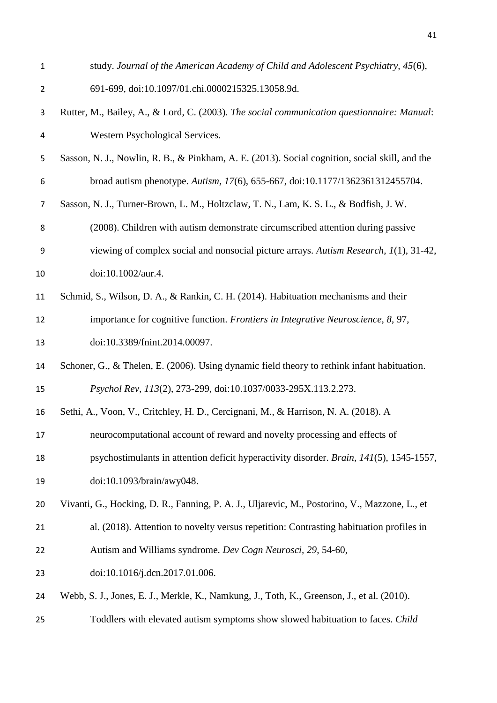| $\mathbf{1}$   | study. Journal of the American Academy of Child and Adolescent Psychiatry, 45(6),              |  |  |  |  |  |  |
|----------------|------------------------------------------------------------------------------------------------|--|--|--|--|--|--|
| $\overline{2}$ | 691-699, doi:10.1097/01.chi.0000215325.13058.9d.                                               |  |  |  |  |  |  |
| $\mathsf{3}$   | Rutter, M., Bailey, A., & Lord, C. (2003). The social communication questionnaire: Manual:     |  |  |  |  |  |  |
| 4              | Western Psychological Services.                                                                |  |  |  |  |  |  |
| 5              | Sasson, N. J., Nowlin, R. B., & Pinkham, A. E. (2013). Social cognition, social skill, and the |  |  |  |  |  |  |
| 6              | broad autism phenotype. Autism, 17(6), 655-667, doi:10.1177/1362361312455704.                  |  |  |  |  |  |  |
| $\overline{7}$ | Sasson, N. J., Turner-Brown, L. M., Holtzclaw, T. N., Lam, K. S. L., & Bodfish, J. W.          |  |  |  |  |  |  |
| 8              | (2008). Children with autism demonstrate circumscribed attention during passive                |  |  |  |  |  |  |
| 9              | viewing of complex social and nonsocial picture arrays. Autism Research, 1(1), 31-42,          |  |  |  |  |  |  |
| 10             | doi:10.1002/aur.4.                                                                             |  |  |  |  |  |  |
| 11             | Schmid, S., Wilson, D. A., & Rankin, C. H. (2014). Habituation mechanisms and their            |  |  |  |  |  |  |
| 12             | importance for cognitive function. Frontiers in Integrative Neuroscience, 8, 97,               |  |  |  |  |  |  |
| 13             | doi:10.3389/fnint.2014.00097.                                                                  |  |  |  |  |  |  |
| 14             | Schoner, G., & Thelen, E. (2006). Using dynamic field theory to rethink infant habituation.    |  |  |  |  |  |  |
| 15             | Psychol Rev, 113(2), 273-299, doi:10.1037/0033-295X.113.2.273.                                 |  |  |  |  |  |  |
| 16             | Sethi, A., Voon, V., Critchley, H. D., Cercignani, M., & Harrison, N. A. (2018). A             |  |  |  |  |  |  |
| 17             | neurocomputational account of reward and novelty processing and effects of                     |  |  |  |  |  |  |
| 18             | psychostimulants in attention deficit hyperactivity disorder. Brain, 141(5), 1545-1557,        |  |  |  |  |  |  |
| 19             | doi:10.1093/brain/awy048.                                                                      |  |  |  |  |  |  |
| 20             | Vivanti, G., Hocking, D. R., Fanning, P. A. J., Uljarevic, M., Postorino, V., Mazzone, L., et  |  |  |  |  |  |  |
| 21             | al. (2018). Attention to novelty versus repetition: Contrasting habituation profiles in        |  |  |  |  |  |  |
| 22             | Autism and Williams syndrome. Dev Cogn Neurosci, 29, 54-60,                                    |  |  |  |  |  |  |
| 23             | doi:10.1016/j.dcn.2017.01.006.                                                                 |  |  |  |  |  |  |
| 24             | Webb, S. J., Jones, E. J., Merkle, K., Namkung, J., Toth, K., Greenson, J., et al. (2010).     |  |  |  |  |  |  |
| 25             | Toddlers with elevated autism symptoms show slowed habituation to faces. Child                 |  |  |  |  |  |  |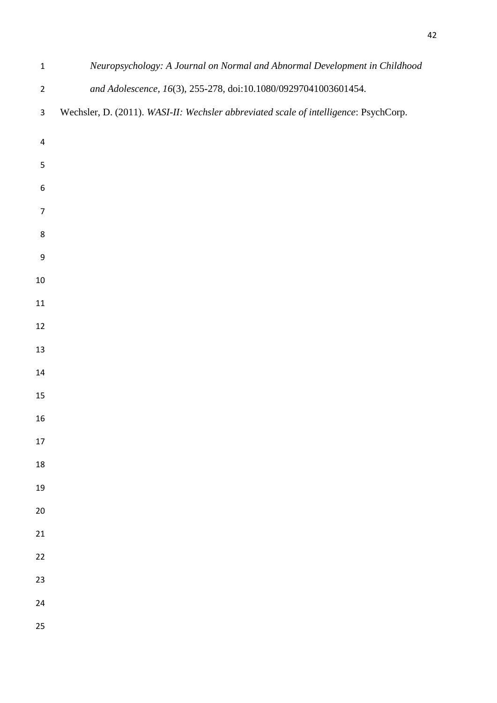| $\mathbf 1$             | Neuropsychology: A Journal on Normal and Abnormal Development in Childhood           |
|-------------------------|--------------------------------------------------------------------------------------|
| $\overline{2}$          | and Adolescence, 16(3), 255-278, doi:10.1080/09297041003601454.                      |
| $\mathsf{3}$            | Wechsler, D. (2011). WASI-II: Wechsler abbreviated scale of intelligence: PsychCorp. |
| $\overline{\mathbf{4}}$ |                                                                                      |
| 5                       |                                                                                      |
| 6                       |                                                                                      |
| $\overline{7}$          |                                                                                      |
| 8                       |                                                                                      |
| 9                       |                                                                                      |
| $10\,$                  |                                                                                      |
| 11                      |                                                                                      |
| 12                      |                                                                                      |
| 13                      |                                                                                      |
| 14                      |                                                                                      |
| 15                      |                                                                                      |
| 16                      |                                                                                      |
| 17                      |                                                                                      |
| 18                      |                                                                                      |
| 19                      |                                                                                      |
| 20                      |                                                                                      |
| 21                      |                                                                                      |
| 22                      |                                                                                      |
| 23                      |                                                                                      |
| 24                      |                                                                                      |
| 25                      |                                                                                      |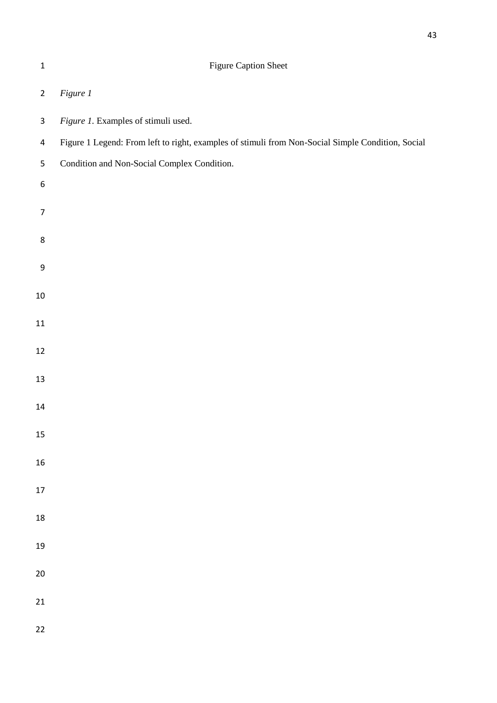| $\mathbf 1$      | <b>Figure Caption Sheet</b>                                                                       |
|------------------|---------------------------------------------------------------------------------------------------|
| $\overline{2}$   | Figure 1                                                                                          |
| $\mathsf{3}$     | Figure 1. Examples of stimuli used.                                                               |
| 4                | Figure 1 Legend: From left to right, examples of stimuli from Non-Social Simple Condition, Social |
| 5                | Condition and Non-Social Complex Condition.                                                       |
| $\boldsymbol{6}$ |                                                                                                   |
| $\overline{7}$   |                                                                                                   |
| 8                |                                                                                                   |
| 9                |                                                                                                   |
| $10\,$           |                                                                                                   |
| $11\,$           |                                                                                                   |
| 12               |                                                                                                   |
| 13               |                                                                                                   |
| $14\,$           |                                                                                                   |
| $15\,$           |                                                                                                   |
| ${\bf 16}$       |                                                                                                   |
| $17\,$           |                                                                                                   |
| ${\bf 18}$       |                                                                                                   |
| 19               |                                                                                                   |
| $20\,$           |                                                                                                   |
| 21               |                                                                                                   |
| $22$             |                                                                                                   |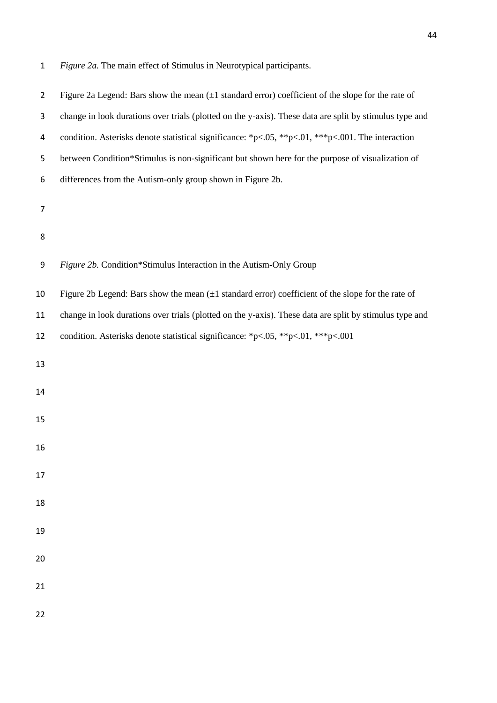*Figure 2a.* The main effect of Stimulus in Neurotypical participants. 2 Figure 2a Legend: Bars show the mean  $(\pm 1)$  standard error) coefficient of the slope for the rate of change in look durations over trials (plotted on the y-axis). These data are split by stimulus type and 4 condition. Asterisks denote statistical significance: \*p<.05, \*\*p<.01, \*\*\*p<.001. The interaction between Condition\*Stimulus is non-significant but shown here for the purpose of visualization of differences from the Autism-only group shown in Figure 2b. *Figure 2b.* Condition\*Stimulus Interaction in the Autism-Only Group Figure 2b Legend: Bars show the mean (±1 standard error) coefficient of the slope for the rate of change in look durations over trials (plotted on the y-axis). These data are split by stimulus type and condition. Asterisks denote statistical significance: \*p<.05, \*\*p<.01, \*\*\*p<.001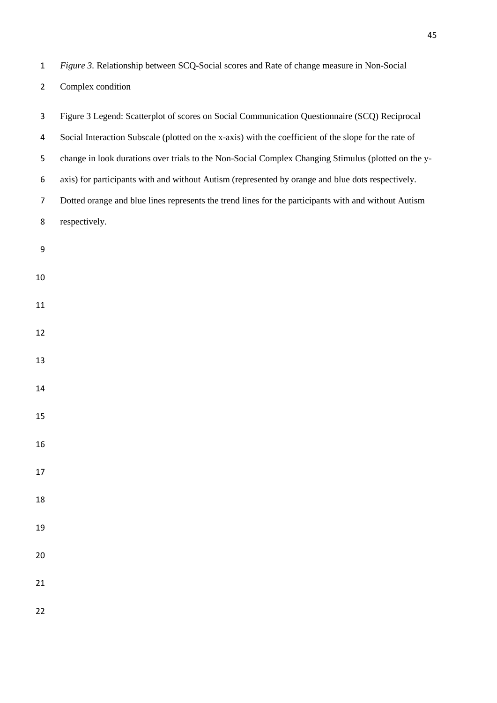*Figure 3.* Relationship between SCQ-Social scores and Rate of change measure in Non-Social

Complex condition

| $\mathsf{3}$     | Figure 3 Legend: Scatterplot of scores on Social Communication Questionnaire (SCQ) Reciprocal         |
|------------------|-------------------------------------------------------------------------------------------------------|
| 4                | Social Interaction Subscale (plotted on the x-axis) with the coefficient of the slope for the rate of |
| 5                | change in look durations over trials to the Non-Social Complex Changing Stimulus (plotted on the y-   |
| 6                | axis) for participants with and without Autism (represented by orange and blue dots respectively.     |
| $\overline{7}$   | Dotted orange and blue lines represents the trend lines for the participants with and without Autism  |
| 8                | respectively.                                                                                         |
| $\boldsymbol{9}$ |                                                                                                       |
| 10               |                                                                                                       |
| $11\,$           |                                                                                                       |
| 12               |                                                                                                       |
| 13               |                                                                                                       |
| 14               |                                                                                                       |
| 15               |                                                                                                       |
| 16               |                                                                                                       |
| 17               |                                                                                                       |
| 18               |                                                                                                       |
| 19               |                                                                                                       |
| 20               |                                                                                                       |
| 21               |                                                                                                       |
| 22               |                                                                                                       |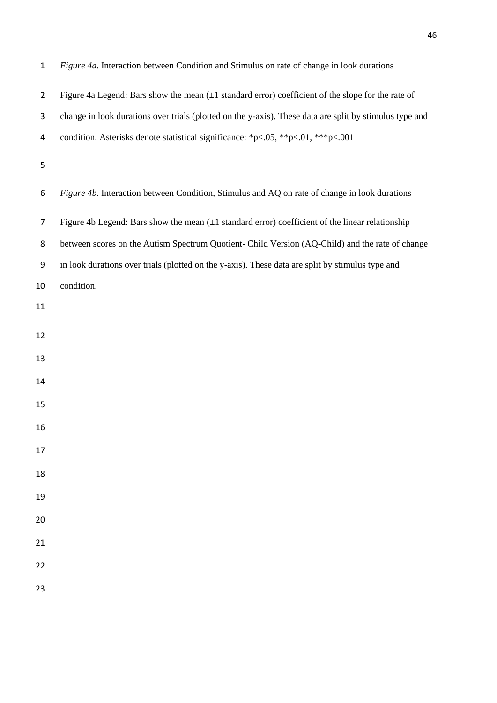| $\mathbf 1$    | Figure 4a. Interaction between Condition and Stimulus on rate of change in look durations               |
|----------------|---------------------------------------------------------------------------------------------------------|
| $\overline{2}$ | Figure 4a Legend: Bars show the mean $(\pm 1)$ standard error) coefficient of the slope for the rate of |
| 3              | change in look durations over trials (plotted on the y-axis). These data are split by stimulus type and |
| 4              | condition. Asterisks denote statistical significance: *p<.05, **p<.01, ***p<.001                        |
| 5              |                                                                                                         |
| 6              | Figure 4b. Interaction between Condition, Stimulus and AQ on rate of change in look durations           |
| $\overline{7}$ | Figure 4b Legend: Bars show the mean $(\pm 1)$ standard error) coefficient of the linear relationship   |
| 8              | between scores on the Autism Spectrum Quotient- Child Version (AQ-Child) and the rate of change         |
| 9              | in look durations over trials (plotted on the y-axis). These data are split by stimulus type and        |
| 10             | condition.                                                                                              |
| 11             |                                                                                                         |
| 12             |                                                                                                         |
| 13             |                                                                                                         |
| 14             |                                                                                                         |
| 15             |                                                                                                         |
|                |                                                                                                         |
| 16             |                                                                                                         |
| 17             |                                                                                                         |
| 18             |                                                                                                         |
| 19             |                                                                                                         |
| 20             |                                                                                                         |
| 21             |                                                                                                         |
| 22             |                                                                                                         |
| 23             |                                                                                                         |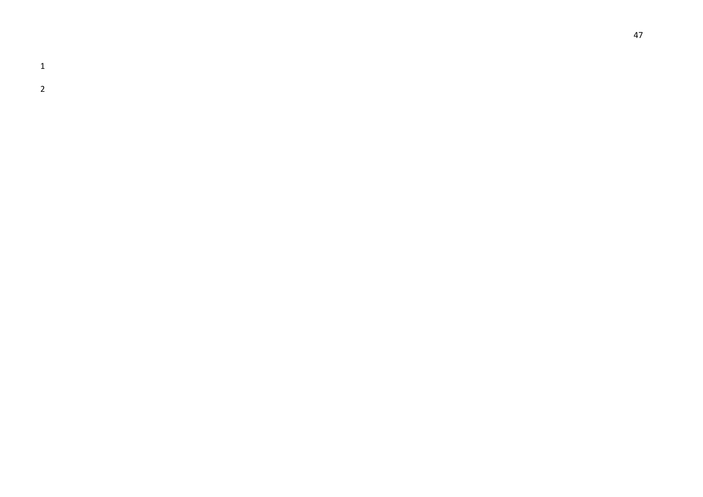$\mathbf{1}$ 1<br>2

 $\overline{2}$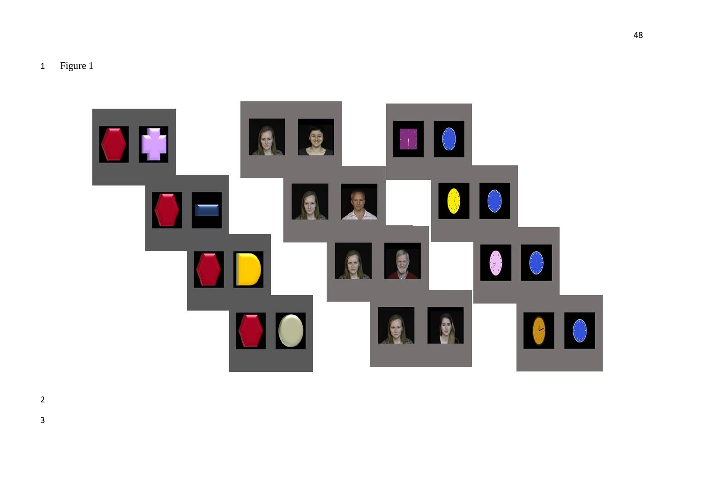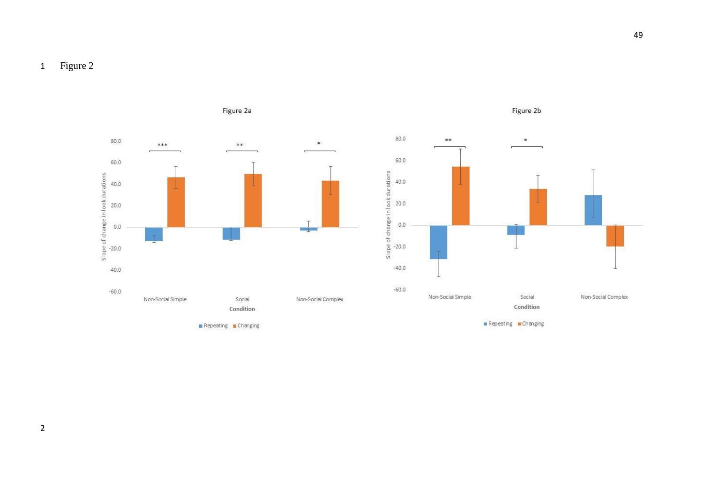

Figure 2a

Figure 2b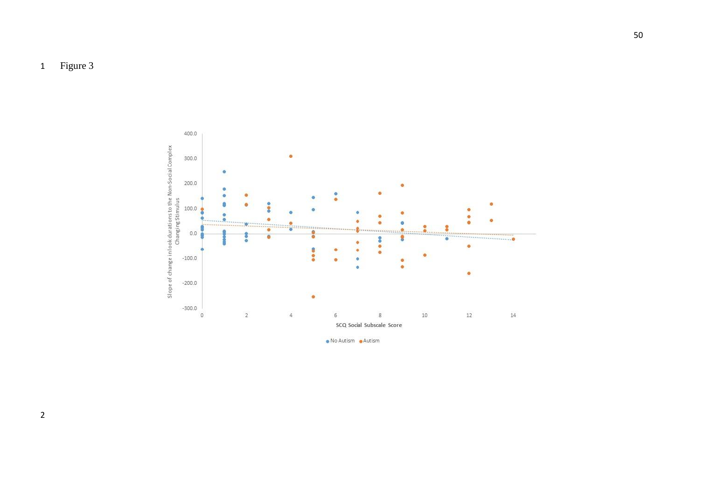Figure 3



. No Autism . Autism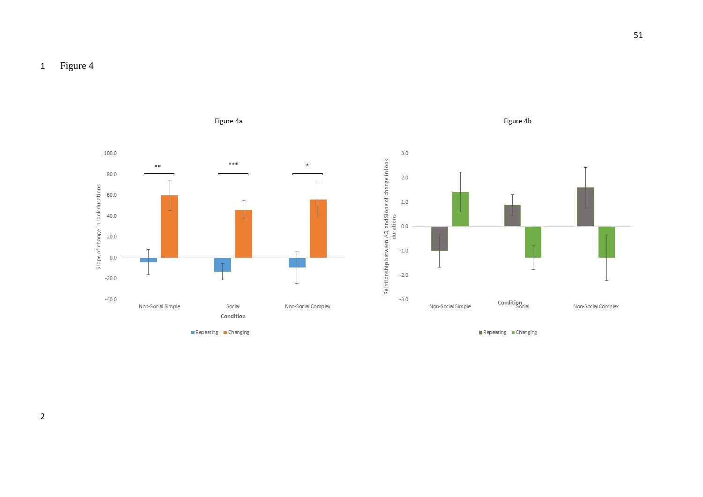

Repeating Changing

Repeating **n** Changing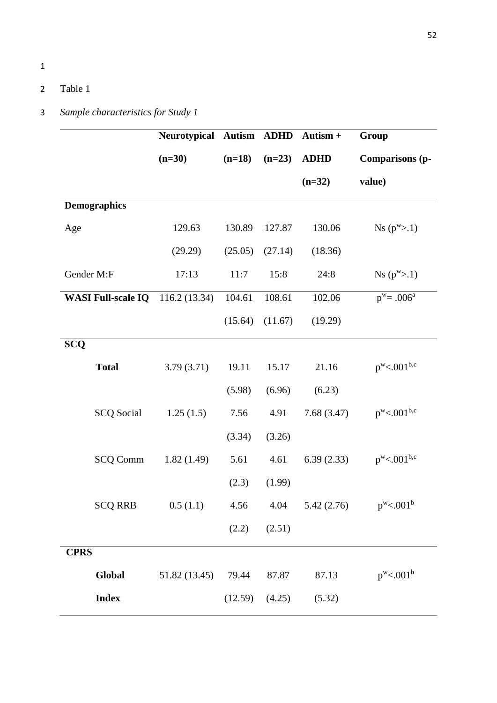- 1
- 2 Table 1

# 3 *Sample characteristics for Study 1*

|                                      | <b>Neurotypical Autism ADHD</b> |          |          | $Autism +$  | Group                            |
|--------------------------------------|---------------------------------|----------|----------|-------------|----------------------------------|
|                                      | $(n=30)$                        | $(n=18)$ | $(n=23)$ | <b>ADHD</b> | <b>Comparisons (p-</b>           |
|                                      |                                 |          |          | $(n=32)$    | value)                           |
| <b>Demographics</b>                  |                                 |          |          |             |                                  |
| Age                                  | 129.63                          | 130.89   | 127.87   | 130.06      | Ns (p <sup>w</sup> > 1)          |
|                                      | (29.29)                         | (25.05)  | (27.14)  | (18.36)     |                                  |
| Gender M:F                           | 17:13                           | 11:7     | 15:8     | 24:8        | Ns (p <sup>w</sup> > 1)          |
| WASI Full-scale $IQ$ 116. $2(13.34)$ |                                 | 104.61   | 108.61   | 102.06      | $p^w = .006^a$                   |
|                                      |                                 | (15.64)  | (11.67)  | (19.29)     |                                  |
| <b>SCQ</b>                           |                                 |          |          |             |                                  |
| <b>Total</b>                         | 3.79(3.71)                      | 19.11    | 15.17    | 21.16       | $p^w$ <.001 <sup>b,c</sup>       |
|                                      |                                 | (5.98)   | (6.96)   | (6.23)      |                                  |
| <b>SCQ Social</b>                    | 1.25(1.5)                       | 7.56     | 4.91     | 7.68(3.47)  | $p^{\rm w}$ <.001 <sup>b,c</sup> |
|                                      |                                 | (3.34)   | (3.26)   |             |                                  |
| <b>SCQ Comm</b>                      | 1.82(1.49)                      | 5.61     | 4.61     | 6.39(2.33)  | $p^{\rm w}$ <.001 <sup>b,c</sup> |
|                                      |                                 | (2.3)    | (1.99)   |             |                                  |
| <b>SCQ RRB</b>                       | 0.5(1.1)                        | 4.56     | 4.04     | 5.42(2.76)  | $p^w$ <.001 <sup>b</sup>         |
|                                      |                                 | (2.2)    | (2.51)   |             |                                  |
| <b>CPRS</b>                          |                                 |          |          |             |                                  |
| Global                               | 51.82 (13.45)                   | 79.44    | 87.87    | 87.13       | $p^w$ <.001 <sup>b</sup>         |
| <b>Index</b>                         |                                 | (12.59)  | (4.25)   | (5.32)      |                                  |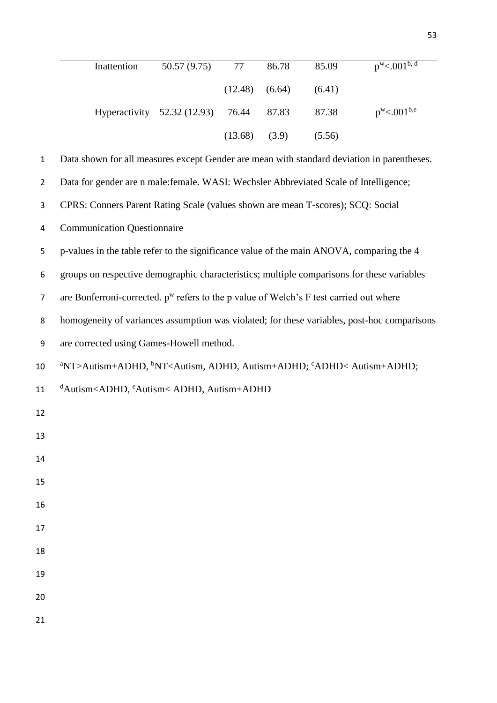| Inattention | 50.57 (9.75) 77                         |                    | 86.78 | 85.09  | $p^{\rm w}$ <.001 <sup>b, d</sup> |
|-------------|-----------------------------------------|--------------------|-------|--------|-----------------------------------|
|             |                                         | $(12.48)$ $(6.64)$ |       | (6.41) |                                   |
|             | Hyperactivity 52.32 (12.93) 76.44 87.83 |                    |       | 87.38  | $p^{\rm w}$ <.001 <sup>b,e</sup>  |
|             |                                         | $(13.68)$ $(3.9)$  |       | (5.56) |                                   |

| $\mathbf 1$    | Data shown for all measures except Gender are mean with standard deviation in parentheses.                              |
|----------------|-------------------------------------------------------------------------------------------------------------------------|
| $\overline{2}$ | Data for gender are n male: female. WASI: Wechsler Abbreviated Scale of Intelligence;                                   |
| 3              | CPRS: Conners Parent Rating Scale (values shown are mean T-scores); SCQ: Social                                         |
| 4              | <b>Communication Questionnaire</b>                                                                                      |
| 5              | p-values in the table refer to the significance value of the main ANOVA, comparing the 4                                |
| 6              | groups on respective demographic characteristics; multiple comparisons for these variables                              |
| $\overline{7}$ | are Bonferroni-corrected. $p^w$ refers to the p value of Welch's F test carried out where                               |
| 8              | homogeneity of variances assumption was violated; for these variables, post-hoc comparisons                             |
| 9              | are corrected using Games-Howell method.                                                                                |
| 10             | <sup>a</sup> NT>Autism+ADHD, <sup>b</sup> NT <autism, <sup="" adhd,="" autism+adhd;="">cADHD&lt; Autism+ADHD;</autism,> |
| 11             | dAutism <adhd, autism+adhd<="" eautism<adhd,="" td=""></adhd,>                                                          |
| 12             |                                                                                                                         |
| 13             |                                                                                                                         |
| 14             |                                                                                                                         |
| 15             |                                                                                                                         |
| 16             |                                                                                                                         |
| 17             |                                                                                                                         |
| 18             |                                                                                                                         |
| 19             |                                                                                                                         |
| 20             |                                                                                                                         |
| 21             |                                                                                                                         |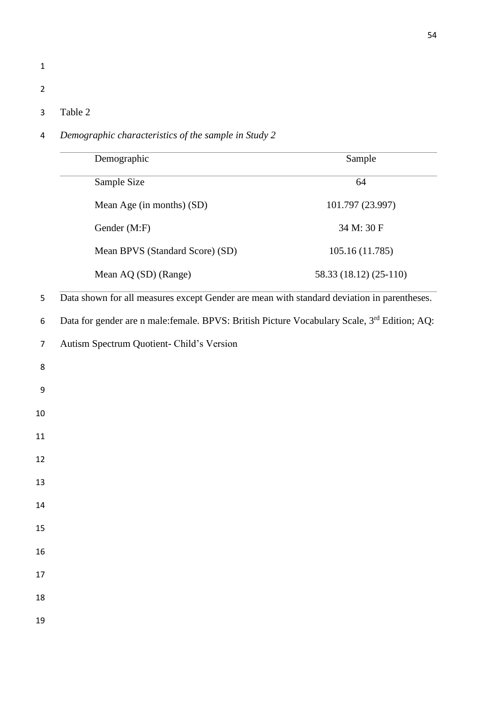- 
- Table 2

# *Demographic characteristics of the sample in Study 2*

|                | Demographic                                                                                 | Sample                 |
|----------------|---------------------------------------------------------------------------------------------|------------------------|
|                | Sample Size                                                                                 | 64                     |
|                | Mean Age (in months) (SD)                                                                   | 101.797 (23.997)       |
|                | Gender (M:F)                                                                                | 34 M: 30 F             |
|                | Mean BPVS (Standard Score) (SD)                                                             | 105.16 (11.785)        |
|                | Mean AQ (SD) (Range)                                                                        | 58.33 (18.12) (25-110) |
| 5              | Data shown for all measures except Gender are mean with standard deviation in parentheses.  |                        |
| 6              | Data for gender are n male:female. BPVS: British Picture Vocabulary Scale, 3rd Edition; AQ: |                        |
| $\overline{7}$ | Autism Spectrum Quotient- Child's Version                                                   |                        |
| 8              |                                                                                             |                        |
| 9              |                                                                                             |                        |
| 10             |                                                                                             |                        |
| 11             |                                                                                             |                        |
| 12             |                                                                                             |                        |
| 13             |                                                                                             |                        |
| 14             |                                                                                             |                        |
| 15             |                                                                                             |                        |
| 16             |                                                                                             |                        |
| 17             |                                                                                             |                        |
| 18             |                                                                                             |                        |
| 19             |                                                                                             |                        |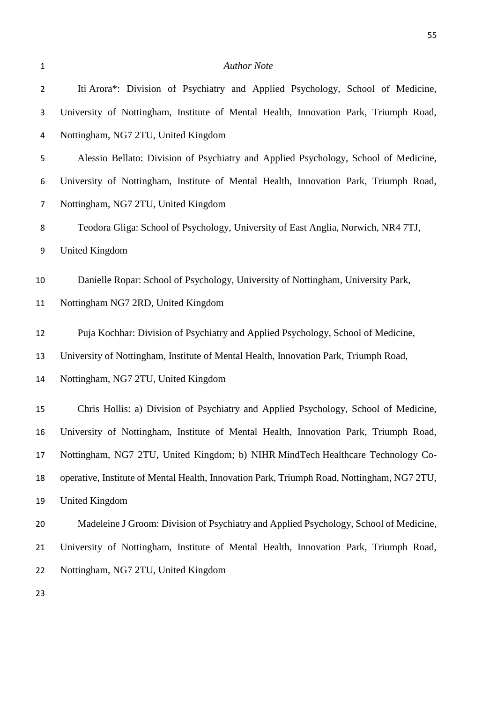| $\mathbf{1}$   | <b>Author Note</b>                                                                         |
|----------------|--------------------------------------------------------------------------------------------|
| $\overline{2}$ | Iti Arora*: Division of Psychiatry and Applied Psychology, School of Medicine,             |
| 3              | University of Nottingham, Institute of Mental Health, Innovation Park, Triumph Road,       |
| 4              | Nottingham, NG7 2TU, United Kingdom                                                        |
| 5              | Alessio Bellato: Division of Psychiatry and Applied Psychology, School of Medicine,        |
| 6              | University of Nottingham, Institute of Mental Health, Innovation Park, Triumph Road,       |
| $\overline{7}$ | Nottingham, NG7 2TU, United Kingdom                                                        |
| 8              | Teodora Gliga: School of Psychology, University of East Anglia, Norwich, NR4 7TJ,          |
| 9              | <b>United Kingdom</b>                                                                      |
| 10             | Danielle Ropar: School of Psychology, University of Nottingham, University Park,           |
| 11             | Nottingham NG7 2RD, United Kingdom                                                         |
| 12             | Puja Kochhar: Division of Psychiatry and Applied Psychology, School of Medicine,           |
| 13             | University of Nottingham, Institute of Mental Health, Innovation Park, Triumph Road,       |
| 14             | Nottingham, NG7 2TU, United Kingdom                                                        |
| 15             | Chris Hollis: a) Division of Psychiatry and Applied Psychology, School of Medicine,        |
| 16             | University of Nottingham, Institute of Mental Health, Innovation Park, Triumph Road,       |
| 17             | Nottingham, NG7 2TU, United Kingdom; b) NIHR MindTech Healthcare Technology Co-            |
| 18             | operative, Institute of Mental Health, Innovation Park, Triumph Road, Nottingham, NG7 2TU, |
| 19             | <b>United Kingdom</b>                                                                      |
| 20             | Madeleine J Groom: Division of Psychiatry and Applied Psychology, School of Medicine,      |
| 21             | University of Nottingham, Institute of Mental Health, Innovation Park, Triumph Road,       |
| 22             | Nottingham, NG7 2TU, United Kingdom                                                        |
| 23             |                                                                                            |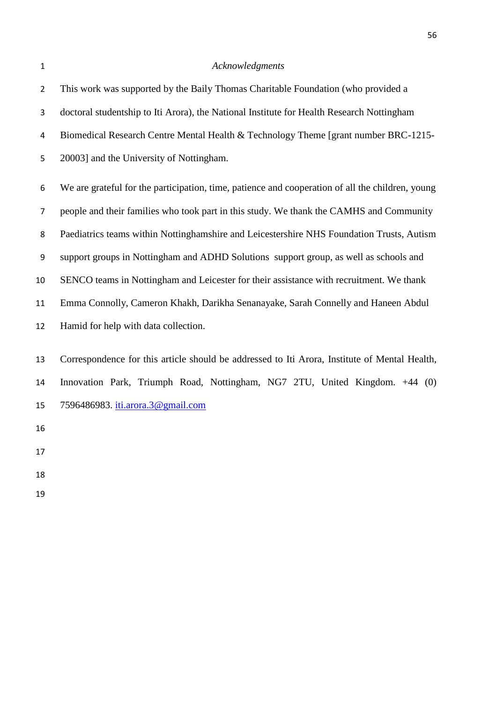#### *Acknowledgments*

 This work was supported by the Baily Thomas Charitable Foundation (who provided a doctoral studentship to Iti Arora), the National Institute for Health Research Nottingham Biomedical Research Centre Mental Health & Technology Theme [grant number BRC-1215- 20003] and the University of Nottingham.

 We are grateful for the participation, time, patience and cooperation of all the children, young people and their families who took part in this study. We thank the CAMHS and Community Paediatrics teams within Nottinghamshire and Leicestershire NHS Foundation Trusts, Autism support groups in Nottingham and ADHD Solutions support group, as well as schools and SENCO teams in Nottingham and Leicester for their assistance with recruitment. We thank Emma Connolly, Cameron Khakh, Darikha Senanayake, Sarah Connelly and Haneen Abdul Hamid for help with data collection.

 Correspondence for this article should be addressed to Iti Arora, Institute of Mental Health, Innovation Park, Triumph Road, Nottingham, NG7 2TU, United Kingdom. +44 (0) 7596486983. [iti.arora.3@gmail.com](mailto:iti.arora.3@gmail.com)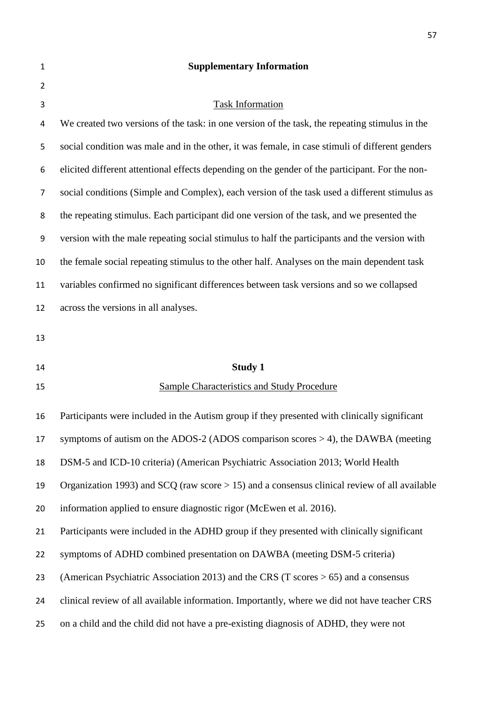| $\mathbf{1}$   | <b>Supplementary Information</b>                                                                |
|----------------|-------------------------------------------------------------------------------------------------|
| $\overline{2}$ |                                                                                                 |
| 3              | <b>Task Information</b>                                                                         |
| 4              | We created two versions of the task: in one version of the task, the repeating stimulus in the  |
| 5              | social condition was male and in the other, it was female, in case stimuli of different genders |
| 6              | elicited different attentional effects depending on the gender of the participant. For the non- |
| 7              | social conditions (Simple and Complex), each version of the task used a different stimulus as   |
| 8              | the repeating stimulus. Each participant did one version of the task, and we presented the      |
| 9              | version with the male repeating social stimulus to half the participants and the version with   |
| 10             | the female social repeating stimulus to the other half. Analyses on the main dependent task     |
| 11             | variables confirmed no significant differences between task versions and so we collapsed        |
| 12             | across the versions in all analyses.                                                            |
| 13             |                                                                                                 |
| 14             | <b>Study 1</b>                                                                                  |
| 15             | <b>Sample Characteristics and Study Procedure</b>                                               |
|                |                                                                                                 |
| 16             | Participants were included in the Autism group if they presented with clinically significant    |
| 17             | symptoms of autism on the ADOS-2 (ADOS comparison scores $>$ 4), the DAWBA (meeting             |
| 18             | DSM-5 and ICD-10 criteria) (American Psychiatric Association 2013; World Health                 |
| 19             | Organization 1993) and SCQ (raw score $> 15$ ) and a consensus clinical review of all available |
| 20             | information applied to ensure diagnostic rigor (McEwen et al. 2016).                            |
| 21             | Participants were included in the ADHD group if they presented with clinically significant      |
| 22             | symptoms of ADHD combined presentation on DAWBA (meeting DSM-5 criteria)                        |
| 23             | (American Psychiatric Association 2013) and the CRS (T scores $> 65$ ) and a consensus          |
|                |                                                                                                 |
| 24             | clinical review of all available information. Importantly, where we did not have teacher CRS    |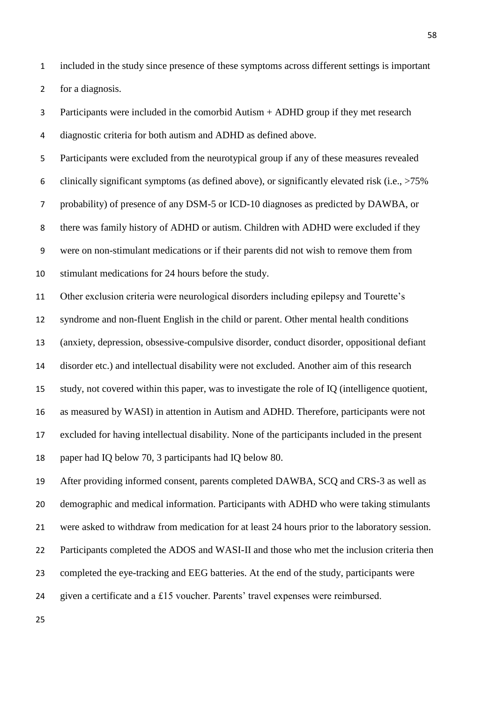included in the study since presence of these symptoms across different settings is important for a diagnosis.

 Participants were included in the comorbid Autism + ADHD group if they met research diagnostic criteria for both autism and ADHD as defined above.

 Participants were excluded from the neurotypical group if any of these measures revealed 6 clinically significant symptoms (as defined above), or significantly elevated risk (i.e.,  $>75\%$  probability) of presence of any DSM-5 or ICD-10 diagnoses as predicted by DAWBA, or there was family history of ADHD or autism. Children with ADHD were excluded if they were on non-stimulant medications or if their parents did not wish to remove them from stimulant medications for 24 hours before the study.

Other exclusion criteria were neurological disorders including epilepsy and Tourette's

syndrome and non-fluent English in the child or parent. Other mental health conditions

(anxiety, depression, obsessive-compulsive disorder, conduct disorder, oppositional defiant

disorder etc.) and intellectual disability were not excluded. Another aim of this research

study, not covered within this paper, was to investigate the role of IQ (intelligence quotient,

as measured by WASI) in attention in Autism and ADHD. Therefore, participants were not

 excluded for having intellectual disability. None of the participants included in the present paper had IQ below 70, 3 participants had IQ below 80.

 After providing informed consent, parents completed DAWBA, SCQ and CRS-3 as well as demographic and medical information. Participants with ADHD who were taking stimulants were asked to withdraw from medication for at least 24 hours prior to the laboratory session. Participants completed the ADOS and WASI-II and those who met the inclusion criteria then

completed the eye-tracking and EEG batteries. At the end of the study, participants were

given a certificate and a £15 voucher. Parents' travel expenses were reimbursed.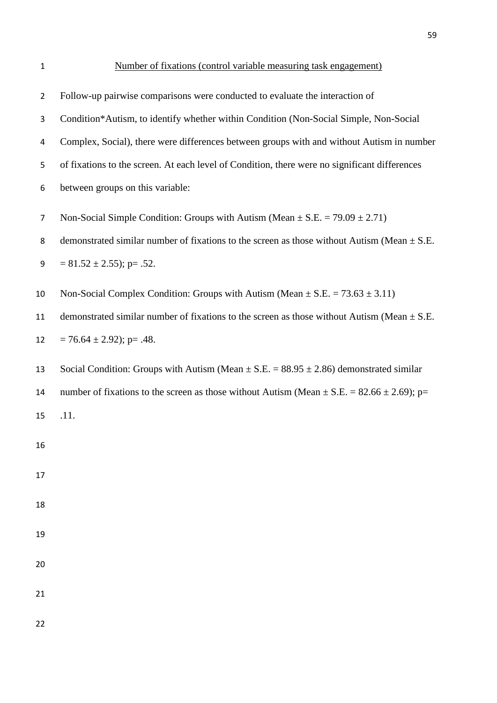| $\mathbf{1}$   | Number of fixations (control variable measuring task engagement)                                   |
|----------------|----------------------------------------------------------------------------------------------------|
| $\overline{2}$ | Follow-up pairwise comparisons were conducted to evaluate the interaction of                       |
| 3              | Condition*Autism, to identify whether within Condition (Non-Social Simple, Non-Social              |
| 4              | Complex, Social), there were differences between groups with and without Autism in number          |
| 5              | of fixations to the screen. At each level of Condition, there were no significant differences      |
| 6              | between groups on this variable:                                                                   |
| 7              | Non-Social Simple Condition: Groups with Autism (Mean $\pm$ S.E. = 79.09 $\pm$ 2.71)               |
| 8              | demonstrated similar number of fixations to the screen as those without Autism (Mean $\pm$ S.E.    |
| 9              | $= 81.52 \pm 2.55$ ; p= .52.                                                                       |
| 10             | Non-Social Complex Condition: Groups with Autism (Mean $\pm$ S.E. = 73.63 $\pm$ 3.11)              |
| 11             | demonstrated similar number of fixations to the screen as those without Autism (Mean $\pm$ S.E.    |
| 12             | $= 76.64 \pm 2.92$ ; p= .48.                                                                       |
| 13             | Social Condition: Groups with Autism (Mean $\pm$ S.E. = 88.95 $\pm$ 2.86) demonstrated similar     |
| 14             | number of fixations to the screen as those without Autism (Mean $\pm$ S.E. = 82.66 $\pm$ 2.69); p= |
| 15             | .11.                                                                                               |
| 16             |                                                                                                    |
| 17             |                                                                                                    |
| 18             |                                                                                                    |
|                |                                                                                                    |
| 19             |                                                                                                    |
| 20             |                                                                                                    |
| 21             |                                                                                                    |
| 22             |                                                                                                    |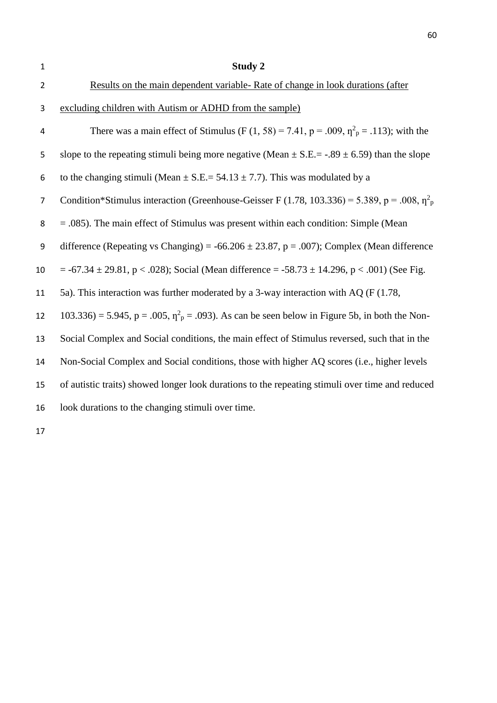| $\mathbf{1}$     | <b>Study 2</b>                                                                                                 |
|------------------|----------------------------------------------------------------------------------------------------------------|
| $\overline{2}$   | Results on the main dependent variable-Rate of change in look durations (after                                 |
| 3                | excluding children with Autism or ADHD from the sample)                                                        |
| 4                | There was a main effect of Stimulus (F (1, 58) = 7.41, p = .009, $\eta_{p}^{2} = .113$ ); with the             |
| 5                | slope to the repeating stimuli being more negative (Mean $\pm$ S.E.= -.89 $\pm$ 6.59) than the slope           |
| 6                | to the changing stimuli (Mean $\pm$ S.E. = 54.13 $\pm$ 7.7). This was modulated by a                           |
| $\overline{7}$   | Condition*Stimulus interaction (Greenhouse-Geisser F (1.78, 103.336) = 5.389, p = .008, $\eta^2$ <sub>p</sub>  |
| 8                | $=$ 0.085). The main effect of Stimulus was present within each condition: Simple (Mean                        |
| $\boldsymbol{9}$ | difference (Repeating vs Changing) = $-66.206 \pm 23.87$ , p = .007); Complex (Mean difference                 |
| 10               | $=$ -67.34 $\pm$ 29.81, p < .028); Social (Mean difference = -58.73 $\pm$ 14.296, p < .001) (See Fig.          |
| 11               | 5a). This interaction was further moderated by a 3-way interaction with AQ ( $F(1.78,$                         |
| 12               | 103.336) = 5.945, p = .005, $\eta^2$ <sub>p</sub> = .093). As can be seen below in Figure 5b, in both the Non- |
| 13               | Social Complex and Social conditions, the main effect of Stimulus reversed, such that in the                   |
| 14               | Non-Social Complex and Social conditions, those with higher AQ scores (i.e., higher levels                     |
| 15               | of autistic traits) showed longer look durations to the repeating stimuli over time and reduced                |
| 16               | look durations to the changing stimuli over time.                                                              |
| 17               |                                                                                                                |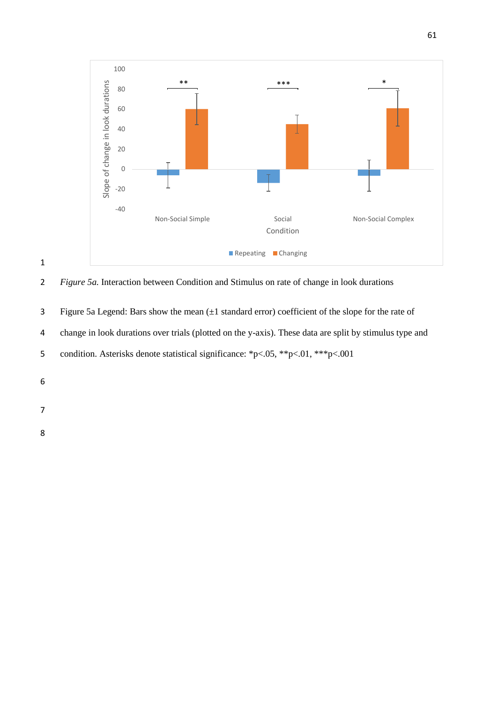

*Figure 5a.* Interaction between Condition and Stimulus on rate of change in look durations

 Figure 5a Legend: Bars show the mean (±1 standard error) coefficient of the slope for the rate of change in look durations over trials (plotted on the y-axis). These data are split by stimulus type and

5 condition. Asterisks denote statistical significance: \*p<.05, \*\*p<.01, \*\*\*p<.001

- 
-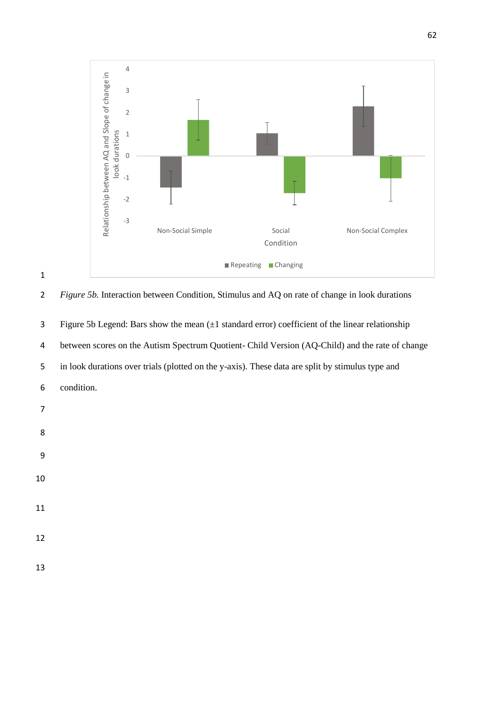

*Figure 5b.* Interaction between Condition, Stimulus and AQ on rate of change in look durations

3 Figure 5b Legend: Bars show the mean  $(\pm 1)$  standard error) coefficient of the linear relationship

between scores on the Autism Spectrum Quotient- Child Version (AQ-Child) and the rate of change

in look durations over trials (plotted on the y-axis). These data are split by stimulus type and

- condition.
- 

- 
- 

- 
- 
- 
-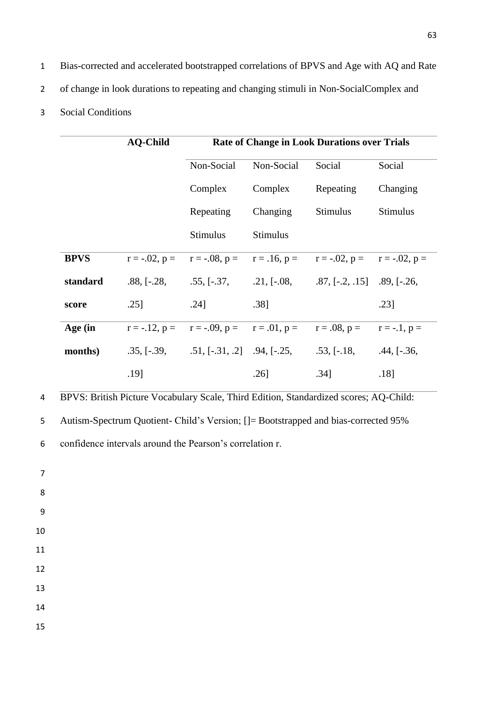- 1 Bias-corrected and accelerated bootstrapped correlations of BPVS and Age with AQ and Rate
- 2 of change in look durations to repeating and changing stimuli in Non-SocialComplex and
- 3 Social Conditions

|             | <b>AQ-Child</b> | <b>Rate of Change in Look Durations over Trials</b>                                       |                 |                 |                 |
|-------------|-----------------|-------------------------------------------------------------------------------------------|-----------------|-----------------|-----------------|
|             |                 | Non-Social                                                                                | Non-Social      | Social          | Social          |
|             |                 | Complex                                                                                   | Complex         | Repeating       | Changing        |
|             |                 | Repeating                                                                                 | Changing        | <b>Stimulus</b> | Stimulus        |
|             |                 | <b>Stimulus</b>                                                                           | <b>Stimulus</b> |                 |                 |
| <b>BPVS</b> |                 | $r = -.02$ , $p = r = -.08$ , $p = r = .16$ , $p = r = -.02$ , $p = r = -.02$ , $p =$     |                 |                 |                 |
| standard    |                 | $.88, [-.28, \quad .55, [-.37, \quad .21, [-.08, \quad .87, [-.2, .15] \quad .89, [-.26,$ |                 |                 |                 |
| score       | .251            | $.24$ ]                                                                                   | .38]            |                 | .23]            |
| Age (in     |                 | $r = -.12$ , $p = r = -.09$ , $p = r = .01$ , $p = r = .08$ , $p = r = -.1$ , $p =$       |                 |                 |                 |
| months)     |                 | $.35, [-.39, \quad .51, [-.31, .2] \quad .94, [-.25, \quad .53, [-.18, \quad .25]$        |                 |                 | $.44,$ $[-.36,$ |
|             | .19]            |                                                                                           | .26]            | .34]            | .18]            |

4 BPVS: British Picture Vocabulary Scale, Third Edition, Standardized scores; AQ-Child:

5 Autism-Spectrum Quotient- Child's Version; []= Bootstrapped and bias-corrected 95%

6 confidence intervals around the Pearson's correlation r.

- 7
- 
- 8
- 9
- 10
- 11
- 12
- 13
- 14
- 15